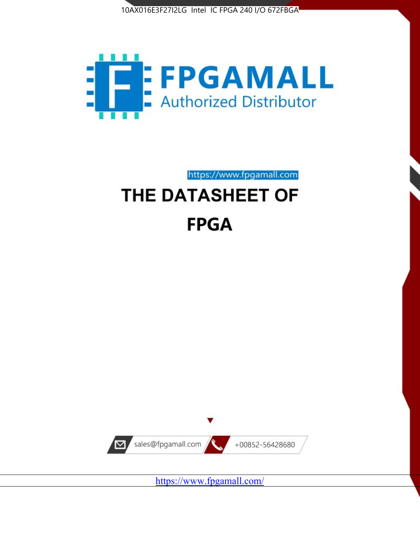



https://www.fpgamall.com THE DATASHEET OF

# **FPGA**



<https://www.fpgamall.com/>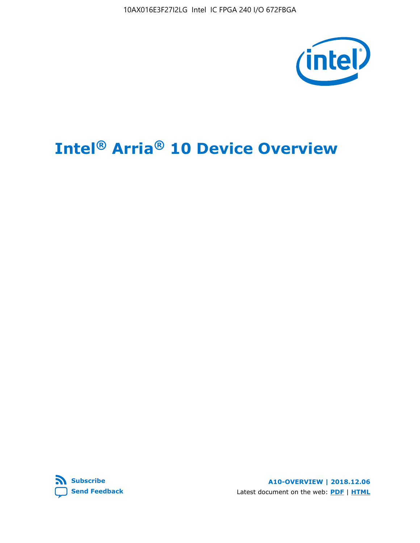10AX016E3F27I2LG Intel IC FPGA 240 I/O 672FBGA



## **Intel® Arria® 10 Device Overview**



**A10-OVERVIEW | 2018.12.06** Latest document on the web: **[PDF](https://www.intel.com/content/dam/www/programmable/us/en/pdfs/literature/hb/arria-10/a10_overview.pdf)** | **[HTML](https://www.intel.com/content/www/us/en/programmable/documentation/sam1403480274650.html)**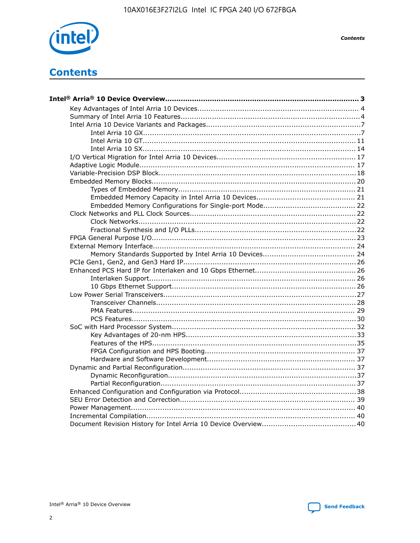

**Contents** 

## **Contents**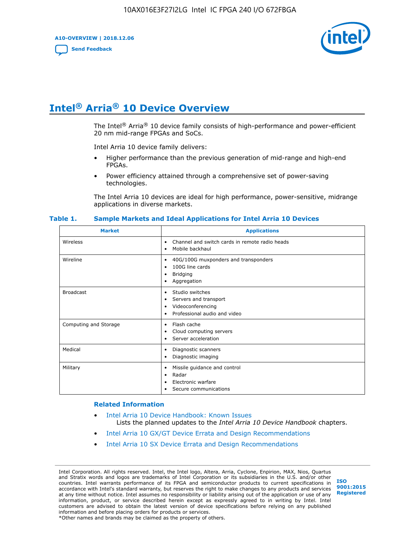**A10-OVERVIEW | 2018.12.06**

**[Send Feedback](mailto:FPGAtechdocfeedback@intel.com?subject=Feedback%20on%20Intel%20Arria%2010%20Device%20Overview%20(A10-OVERVIEW%202018.12.06)&body=We%20appreciate%20your%20feedback.%20In%20your%20comments,%20also%20specify%20the%20page%20number%20or%20paragraph.%20Thank%20you.)**



## **Intel® Arria® 10 Device Overview**

The Intel<sup>®</sup> Arria<sup>®</sup> 10 device family consists of high-performance and power-efficient 20 nm mid-range FPGAs and SoCs.

Intel Arria 10 device family delivers:

- Higher performance than the previous generation of mid-range and high-end FPGAs.
- Power efficiency attained through a comprehensive set of power-saving technologies.

The Intel Arria 10 devices are ideal for high performance, power-sensitive, midrange applications in diverse markets.

| <b>Market</b>         | <b>Applications</b>                                                                                               |
|-----------------------|-------------------------------------------------------------------------------------------------------------------|
| Wireless              | Channel and switch cards in remote radio heads<br>٠<br>Mobile backhaul<br>٠                                       |
| Wireline              | 40G/100G muxponders and transponders<br>٠<br>100G line cards<br>٠<br><b>Bridging</b><br>٠<br>Aggregation<br>٠     |
| <b>Broadcast</b>      | Studio switches<br>٠<br>Servers and transport<br>٠<br>Videoconferencing<br>٠<br>Professional audio and video<br>٠ |
| Computing and Storage | Flash cache<br>٠<br>Cloud computing servers<br>٠<br>Server acceleration<br>٠                                      |
| Medical               | Diagnostic scanners<br>٠<br>Diagnostic imaging<br>٠                                                               |
| Military              | Missile guidance and control<br>٠<br>Radar<br>٠<br>Electronic warfare<br>٠<br>Secure communications<br>٠          |

#### **Table 1. Sample Markets and Ideal Applications for Intel Arria 10 Devices**

#### **Related Information**

- [Intel Arria 10 Device Handbook: Known Issues](http://www.altera.com/support/kdb/solutions/rd07302013_646.html) Lists the planned updates to the *Intel Arria 10 Device Handbook* chapters.
- [Intel Arria 10 GX/GT Device Errata and Design Recommendations](https://www.intel.com/content/www/us/en/programmable/documentation/agz1493851706374.html#yqz1494433888646)
- [Intel Arria 10 SX Device Errata and Design Recommendations](https://www.intel.com/content/www/us/en/programmable/documentation/cru1462832385668.html#cru1462832558642)

Intel Corporation. All rights reserved. Intel, the Intel logo, Altera, Arria, Cyclone, Enpirion, MAX, Nios, Quartus and Stratix words and logos are trademarks of Intel Corporation or its subsidiaries in the U.S. and/or other countries. Intel warrants performance of its FPGA and semiconductor products to current specifications in accordance with Intel's standard warranty, but reserves the right to make changes to any products and services at any time without notice. Intel assumes no responsibility or liability arising out of the application or use of any information, product, or service described herein except as expressly agreed to in writing by Intel. Intel customers are advised to obtain the latest version of device specifications before relying on any published information and before placing orders for products or services. \*Other names and brands may be claimed as the property of others.

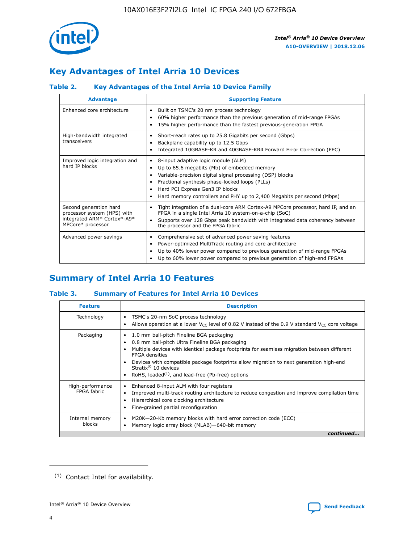

## **Key Advantages of Intel Arria 10 Devices**

#### **Table 2. Key Advantages of the Intel Arria 10 Device Family**

| <b>Advantage</b>                                                                                          | <b>Supporting Feature</b>                                                                                                                                                                                                                                                                                                     |
|-----------------------------------------------------------------------------------------------------------|-------------------------------------------------------------------------------------------------------------------------------------------------------------------------------------------------------------------------------------------------------------------------------------------------------------------------------|
| Enhanced core architecture                                                                                | Built on TSMC's 20 nm process technology<br>٠<br>60% higher performance than the previous generation of mid-range FPGAs<br>٠<br>15% higher performance than the fastest previous-generation FPGA<br>٠                                                                                                                         |
| High-bandwidth integrated<br>transceivers                                                                 | Short-reach rates up to 25.8 Gigabits per second (Gbps)<br>٠<br>Backplane capability up to 12.5 Gbps<br>٠<br>Integrated 10GBASE-KR and 40GBASE-KR4 Forward Error Correction (FEC)<br>٠                                                                                                                                        |
| Improved logic integration and<br>hard IP blocks                                                          | 8-input adaptive logic module (ALM)<br>٠<br>Up to 65.6 megabits (Mb) of embedded memory<br>٠<br>Variable-precision digital signal processing (DSP) blocks<br>Fractional synthesis phase-locked loops (PLLs)<br>٠<br>Hard PCI Express Gen3 IP blocks<br>Hard memory controllers and PHY up to 2,400 Megabits per second (Mbps) |
| Second generation hard<br>processor system (HPS) with<br>integrated ARM* Cortex*-A9*<br>MPCore* processor | Tight integration of a dual-core ARM Cortex-A9 MPCore processor, hard IP, and an<br>٠<br>FPGA in a single Intel Arria 10 system-on-a-chip (SoC)<br>Supports over 128 Gbps peak bandwidth with integrated data coherency between<br>$\bullet$<br>the processor and the FPGA fabric                                             |
| Advanced power savings                                                                                    | Comprehensive set of advanced power saving features<br>٠<br>Power-optimized MultiTrack routing and core architecture<br>٠<br>Up to 40% lower power compared to previous generation of mid-range FPGAs<br>Up to 60% lower power compared to previous generation of high-end FPGAs<br>٠                                         |

## **Summary of Intel Arria 10 Features**

#### **Table 3. Summary of Features for Intel Arria 10 Devices**

| <b>Feature</b>                  | <b>Description</b>                                                                                                                                                                                                                                                                                                                                                                                           |
|---------------------------------|--------------------------------------------------------------------------------------------------------------------------------------------------------------------------------------------------------------------------------------------------------------------------------------------------------------------------------------------------------------------------------------------------------------|
| Technology                      | TSMC's 20-nm SoC process technology<br>Allows operation at a lower $V_{\text{CC}}$ level of 0.82 V instead of the 0.9 V standard $V_{\text{CC}}$ core voltage                                                                                                                                                                                                                                                |
| Packaging                       | 1.0 mm ball-pitch Fineline BGA packaging<br>٠<br>0.8 mm ball-pitch Ultra Fineline BGA packaging<br>Multiple devices with identical package footprints for seamless migration between different<br><b>FPGA</b> densities<br>Devices with compatible package footprints allow migration to next generation high-end<br>Stratix <sup>®</sup> 10 devices<br>RoHS, leaded $(1)$ , and lead-free (Pb-free) options |
| High-performance<br>FPGA fabric | Enhanced 8-input ALM with four registers<br>Improved multi-track routing architecture to reduce congestion and improve compilation time<br>Hierarchical core clocking architecture<br>Fine-grained partial reconfiguration                                                                                                                                                                                   |
| Internal memory<br>blocks       | M20K-20-Kb memory blocks with hard error correction code (ECC)<br>Memory logic array block (MLAB)-640-bit memory                                                                                                                                                                                                                                                                                             |
|                                 | continued                                                                                                                                                                                                                                                                                                                                                                                                    |



<sup>(1)</sup> Contact Intel for availability.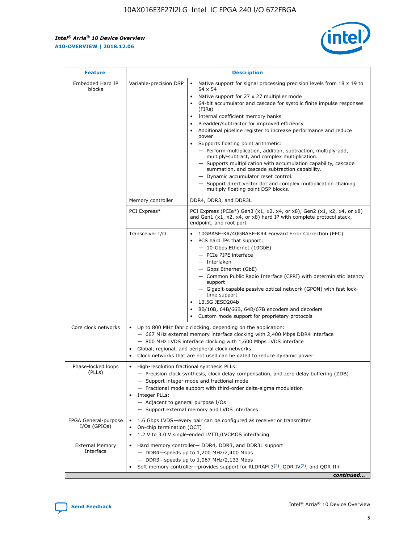$\mathsf{r}$ 



| <b>Feature</b>                         |                                                                                                                | <b>Description</b>                                                                                                                                                                                                                                                                                                                                                                                                                                                                                                                                                                                                                                                                                                                                                                                                                          |
|----------------------------------------|----------------------------------------------------------------------------------------------------------------|---------------------------------------------------------------------------------------------------------------------------------------------------------------------------------------------------------------------------------------------------------------------------------------------------------------------------------------------------------------------------------------------------------------------------------------------------------------------------------------------------------------------------------------------------------------------------------------------------------------------------------------------------------------------------------------------------------------------------------------------------------------------------------------------------------------------------------------------|
| Embedded Hard IP<br>blocks             | Variable-precision DSP                                                                                         | Native support for signal processing precision levels from $18 \times 19$ to<br>$\bullet$<br>54 x 54<br>Native support for 27 x 27 multiplier mode<br>64-bit accumulator and cascade for systolic finite impulse responses<br>(FIRS)<br>Internal coefficient memory banks<br>٠<br>Preadder/subtractor for improved efficiency<br>Additional pipeline register to increase performance and reduce<br>power<br>Supports floating point arithmetic:<br>- Perform multiplication, addition, subtraction, multiply-add,<br>multiply-subtract, and complex multiplication.<br>- Supports multiplication with accumulation capability, cascade<br>summation, and cascade subtraction capability.<br>- Dynamic accumulator reset control.<br>- Support direct vector dot and complex multiplication chaining<br>multiply floating point DSP blocks. |
|                                        | Memory controller                                                                                              | DDR4, DDR3, and DDR3L                                                                                                                                                                                                                                                                                                                                                                                                                                                                                                                                                                                                                                                                                                                                                                                                                       |
|                                        | PCI Express*                                                                                                   | PCI Express (PCIe*) Gen3 (x1, x2, x4, or x8), Gen2 (x1, x2, x4, or x8)<br>and Gen1 (x1, x2, x4, or x8) hard IP with complete protocol stack,<br>endpoint, and root port                                                                                                                                                                                                                                                                                                                                                                                                                                                                                                                                                                                                                                                                     |
|                                        | Transceiver I/O                                                                                                | 10GBASE-KR/40GBASE-KR4 Forward Error Correction (FEC)<br>PCS hard IPs that support:<br>- 10-Gbps Ethernet (10GbE)<br>- PCIe PIPE interface<br>- Interlaken<br>- Gbps Ethernet (GbE)<br>- Common Public Radio Interface (CPRI) with deterministic latency<br>support<br>- Gigabit-capable passive optical network (GPON) with fast lock-<br>time support<br>13.5G JESD204b<br>8B/10B, 64B/66B, 64B/67B encoders and decoders<br>Custom mode support for proprietary protocols                                                                                                                                                                                                                                                                                                                                                                |
| Core clock networks                    | $\bullet$                                                                                                      | Up to 800 MHz fabric clocking, depending on the application:<br>- 667 MHz external memory interface clocking with 2,400 Mbps DDR4 interface<br>- 800 MHz LVDS interface clocking with 1,600 Mbps LVDS interface<br>Global, regional, and peripheral clock networks<br>Clock networks that are not used can be gated to reduce dynamic power                                                                                                                                                                                                                                                                                                                                                                                                                                                                                                 |
| Phase-locked loops<br>(PLLs)           | High-resolution fractional synthesis PLLs:<br>$\bullet$<br>Integer PLLs:<br>- Adjacent to general purpose I/Os | - Precision clock synthesis, clock delay compensation, and zero delay buffering (ZDB)<br>- Support integer mode and fractional mode<br>- Fractional mode support with third-order delta-sigma modulation<br>- Support external memory and LVDS interfaces                                                                                                                                                                                                                                                                                                                                                                                                                                                                                                                                                                                   |
| FPGA General-purpose<br>$I/Os$ (GPIOs) | On-chip termination (OCT)<br>$\bullet$                                                                         | 1.6 Gbps LVDS-every pair can be configured as receiver or transmitter<br>1.2 V to 3.0 V single-ended LVTTL/LVCMOS interfacing                                                                                                                                                                                                                                                                                                                                                                                                                                                                                                                                                                                                                                                                                                               |
| <b>External Memory</b><br>Interface    |                                                                                                                | Hard memory controller- DDR4, DDR3, and DDR3L support<br>$-$ DDR4 $-$ speeds up to 1,200 MHz/2,400 Mbps<br>- DDR3-speeds up to 1,067 MHz/2,133 Mbps<br>Soft memory controller—provides support for RLDRAM $3^{(2)}$ , QDR IV $(2)$ , and QDR II+<br>continued                                                                                                                                                                                                                                                                                                                                                                                                                                                                                                                                                                               |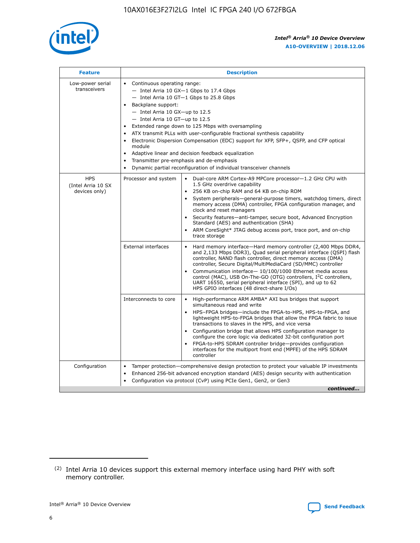

| <b>Feature</b>                                    | <b>Description</b>                                                                                                                                                                                                                                                                                                                                                                                                                                                                                                                                                                                                                                                        |  |  |  |  |  |  |  |
|---------------------------------------------------|---------------------------------------------------------------------------------------------------------------------------------------------------------------------------------------------------------------------------------------------------------------------------------------------------------------------------------------------------------------------------------------------------------------------------------------------------------------------------------------------------------------------------------------------------------------------------------------------------------------------------------------------------------------------------|--|--|--|--|--|--|--|
| Low-power serial<br>transceivers                  | • Continuous operating range:<br>- Intel Arria 10 GX-1 Gbps to 17.4 Gbps<br>$-$ Intel Arria 10 GT $-1$ Gbps to 25.8 Gbps<br>Backplane support:<br>$\bullet$<br>$-$ Intel Arria 10 GX-up to 12.5<br>$-$ Intel Arria 10 GT-up to 12.5<br>Extended range down to 125 Mbps with oversampling<br>ATX transmit PLLs with user-configurable fractional synthesis capability<br>Electronic Dispersion Compensation (EDC) support for XFP, SFP+, OSFP, and CFP optical<br>module<br>Adaptive linear and decision feedback equalization<br>$\bullet$<br>Transmitter pre-emphasis and de-emphasis<br>$\bullet$<br>Dynamic partial reconfiguration of individual transceiver channels |  |  |  |  |  |  |  |
| <b>HPS</b><br>(Intel Arria 10 SX<br>devices only) | Dual-core ARM Cortex-A9 MPCore processor-1.2 GHz CPU with<br>Processor and system<br>$\bullet$<br>1.5 GHz overdrive capability<br>256 KB on-chip RAM and 64 KB on-chip ROM<br>System peripherals-general-purpose timers, watchdog timers, direct<br>memory access (DMA) controller, FPGA configuration manager, and<br>clock and reset managers<br>• Security features—anti-tamper, secure boot, Advanced Encryption<br>Standard (AES) and authentication (SHA)<br>ARM CoreSight* JTAG debug access port, trace port, and on-chip<br>$\bullet$<br>trace storage                                                                                                           |  |  |  |  |  |  |  |
|                                                   | <b>External interfaces</b><br>Hard memory interface—Hard memory controller (2,400 Mbps DDR4,<br>and 2,133 Mbps DDR3), Quad serial peripheral interface (QSPI) flash<br>controller, NAND flash controller, direct memory access (DMA)<br>controller, Secure Digital/MultiMediaCard (SD/MMC) controller<br>Communication interface-10/100/1000 Ethernet media access<br>$\bullet$<br>control (MAC), USB On-The-GO (OTG) controllers, I <sup>2</sup> C controllers,<br>UART 16550, serial peripheral interface (SPI), and up to 62<br>HPS GPIO interfaces (48 direct-share I/Os)                                                                                             |  |  |  |  |  |  |  |
|                                                   | Interconnects to core<br>• High-performance ARM AMBA* AXI bus bridges that support<br>simultaneous read and write<br>HPS-FPGA bridges-include the FPGA-to-HPS, HPS-to-FPGA, and<br>$\bullet$<br>lightweight HPS-to-FPGA bridges that allow the FPGA fabric to issue<br>transactions to slaves in the HPS, and vice versa<br>Configuration bridge that allows HPS configuration manager to<br>configure the core logic via dedicated 32-bit configuration port<br>FPGA-to-HPS SDRAM controller bridge-provides configuration<br>interfaces for the multiport front end (MPFE) of the HPS SDRAM<br>controller                                                               |  |  |  |  |  |  |  |
| Configuration                                     | Tamper protection—comprehensive design protection to protect your valuable IP investments<br>Enhanced 256-bit advanced encryption standard (AES) design security with authentication<br>$\bullet$<br>Configuration via protocol (CvP) using PCIe Gen1, Gen2, or Gen3<br>continued                                                                                                                                                                                                                                                                                                                                                                                         |  |  |  |  |  |  |  |

<sup>(2)</sup> Intel Arria 10 devices support this external memory interface using hard PHY with soft memory controller.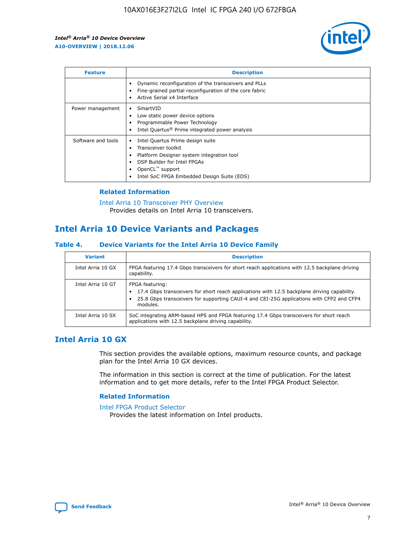

| <b>Feature</b>     | <b>Description</b>                                                                                                                                                                                               |
|--------------------|------------------------------------------------------------------------------------------------------------------------------------------------------------------------------------------------------------------|
|                    | Dynamic reconfiguration of the transceivers and PLLs<br>Fine-grained partial reconfiguration of the core fabric<br>Active Serial x4 Interface<br>$\bullet$                                                       |
| Power management   | SmartVID<br>Low static power device options<br>Programmable Power Technology<br>Intel Quartus <sup>®</sup> Prime integrated power analysis                                                                       |
| Software and tools | Intel Quartus Prime design suite<br>Transceiver toolkit<br>Platform Designer system integration tool<br>DSP Builder for Intel FPGAs<br>OpenCL <sup>™</sup> support<br>Intel SoC FPGA Embedded Design Suite (EDS) |

#### **Related Information**

[Intel Arria 10 Transceiver PHY Overview](https://www.intel.com/content/www/us/en/programmable/documentation/nik1398707230472.html#nik1398706768037) Provides details on Intel Arria 10 transceivers.

## **Intel Arria 10 Device Variants and Packages**

#### **Table 4. Device Variants for the Intel Arria 10 Device Family**

| <b>Variant</b>    | <b>Description</b>                                                                                                                                                                                                     |
|-------------------|------------------------------------------------------------------------------------------------------------------------------------------------------------------------------------------------------------------------|
| Intel Arria 10 GX | FPGA featuring 17.4 Gbps transceivers for short reach applications with 12.5 backplane driving<br>capability.                                                                                                          |
| Intel Arria 10 GT | FPGA featuring:<br>17.4 Gbps transceivers for short reach applications with 12.5 backplane driving capability.<br>25.8 Gbps transceivers for supporting CAUI-4 and CEI-25G applications with CFP2 and CFP4<br>modules. |
| Intel Arria 10 SX | SoC integrating ARM-based HPS and FPGA featuring 17.4 Gbps transceivers for short reach<br>applications with 12.5 backplane driving capability.                                                                        |

#### **Intel Arria 10 GX**

This section provides the available options, maximum resource counts, and package plan for the Intel Arria 10 GX devices.

The information in this section is correct at the time of publication. For the latest information and to get more details, refer to the Intel FPGA Product Selector.

#### **Related Information**

#### [Intel FPGA Product Selector](http://www.altera.com/products/selector/psg-selector.html) Provides the latest information on Intel products.

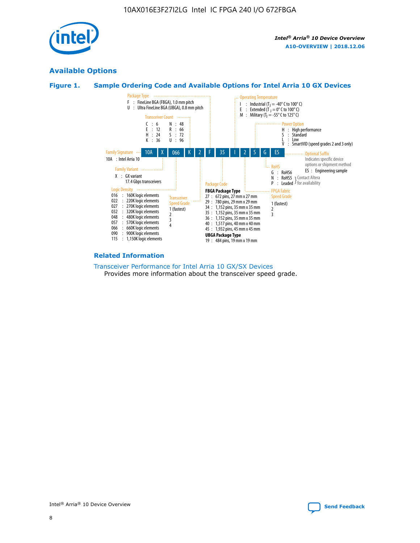

#### **Available Options**





#### **Related Information**

#### [Transceiver Performance for Intel Arria 10 GX/SX Devices](https://www.intel.com/content/www/us/en/programmable/documentation/mcn1413182292568.html#mcn1413213965502) Provides more information about the transceiver speed grade.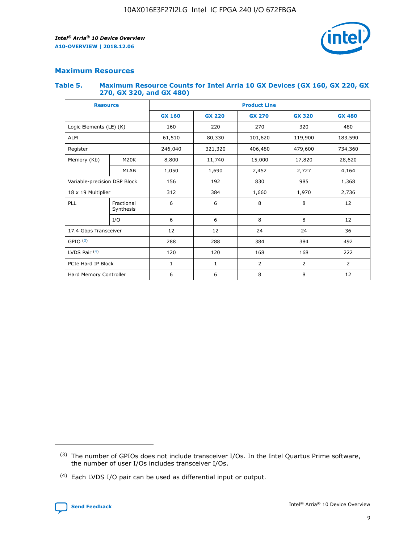

#### **Maximum Resources**

#### **Table 5. Maximum Resource Counts for Intel Arria 10 GX Devices (GX 160, GX 220, GX 270, GX 320, and GX 480)**

| <b>Resource</b>              |                         | <b>Product Line</b> |                                |                |                |                |  |  |
|------------------------------|-------------------------|---------------------|--------------------------------|----------------|----------------|----------------|--|--|
|                              |                         | <b>GX 160</b>       | <b>GX 220</b><br><b>GX 270</b> |                | <b>GX 320</b>  | <b>GX 480</b>  |  |  |
| Logic Elements (LE) (K)      |                         | 160                 | 220                            | 270            | 320            | 480            |  |  |
| <b>ALM</b>                   |                         | 61,510              | 80,330                         | 101,620        | 119,900        | 183,590        |  |  |
| Register                     |                         | 246,040             | 406,480<br>479,600<br>321,320  |                |                | 734,360        |  |  |
| Memory (Kb)                  | M <sub>20</sub> K       | 8,800               | 11,740                         | 15,000         | 17,820         | 28,620         |  |  |
|                              | <b>MLAB</b>             | 1,050               | 1,690<br>2,452<br>2,727        |                |                | 4,164          |  |  |
| Variable-precision DSP Block |                         | 156                 | 192                            | 830            | 985            | 1,368          |  |  |
| 18 x 19 Multiplier           |                         | 312                 | 384                            | 1,970<br>1,660 |                | 2,736          |  |  |
| PLL                          | Fractional<br>Synthesis | 6                   | 6                              | 8              | 8              | 12             |  |  |
|                              | I/O                     | 6                   | 6                              | 8              | 8              | 12             |  |  |
| 17.4 Gbps Transceiver        |                         | 12                  | 12                             | 24             | 24             | 36             |  |  |
| GPIO <sup>(3)</sup>          |                         | 288                 | 288                            | 384<br>384     |                | 492            |  |  |
| LVDS Pair $(4)$              |                         | 120                 | 120                            | 168            | 168            | 222            |  |  |
| PCIe Hard IP Block           |                         | 1                   | 1                              | 2              | $\overline{2}$ | $\overline{2}$ |  |  |
| Hard Memory Controller       |                         | 6                   | 6                              | 8              | 8              | 12             |  |  |

<sup>(4)</sup> Each LVDS I/O pair can be used as differential input or output.



<sup>(3)</sup> The number of GPIOs does not include transceiver I/Os. In the Intel Quartus Prime software, the number of user I/Os includes transceiver I/Os.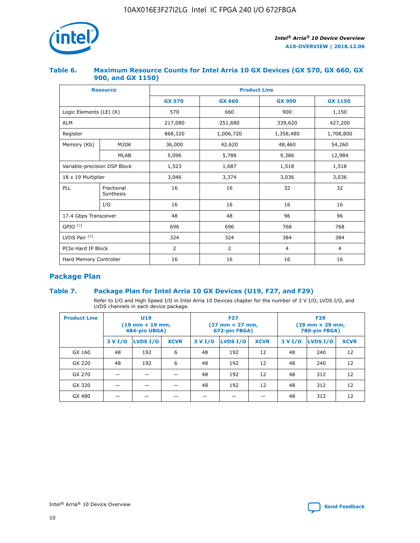

#### **Table 6. Maximum Resource Counts for Intel Arria 10 GX Devices (GX 570, GX 660, GX 900, and GX 1150)**

|                              | <b>Resource</b>         | <b>Product Line</b> |                |                |                |  |  |  |
|------------------------------|-------------------------|---------------------|----------------|----------------|----------------|--|--|--|
|                              |                         | <b>GX 570</b>       | <b>GX 660</b>  | <b>GX 900</b>  | <b>GX 1150</b> |  |  |  |
| Logic Elements (LE) (K)      |                         | 570                 | 660            | 900            | 1,150          |  |  |  |
| <b>ALM</b>                   |                         | 217,080             | 251,680        | 339,620        | 427,200        |  |  |  |
| Register                     |                         | 868,320             | 1,006,720      | 1,358,480      | 1,708,800      |  |  |  |
| Memory (Kb)                  | <b>M20K</b>             | 36,000              | 42,620         | 48,460         | 54,260         |  |  |  |
|                              | <b>MLAB</b>             | 5,096               | 5,788          | 9,386          | 12,984         |  |  |  |
| Variable-precision DSP Block |                         | 1,523               | 1,687          | 1,518          | 1,518          |  |  |  |
| $18 \times 19$ Multiplier    |                         | 3,046               | 3,374          | 3,036          | 3,036          |  |  |  |
| PLL                          | Fractional<br>Synthesis | 16                  | 16             | 32             | 32             |  |  |  |
|                              | I/O                     | 16                  | 16             | 16             | 16             |  |  |  |
| 17.4 Gbps Transceiver        |                         | 48                  | 48             |                | 96             |  |  |  |
| GPIO <sup>(3)</sup>          |                         | 696                 | 696            | 768            | 768            |  |  |  |
| LVDS Pair $(4)$              |                         | 324                 | 324            | 384            | 384            |  |  |  |
| PCIe Hard IP Block           |                         | 2                   | $\overline{2}$ | $\overline{4}$ | $\overline{4}$ |  |  |  |
| Hard Memory Controller       |                         | 16                  | 16             | 16             | 16             |  |  |  |

#### **Package Plan**

#### **Table 7. Package Plan for Intel Arria 10 GX Devices (U19, F27, and F29)**

Refer to I/O and High Speed I/O in Intel Arria 10 Devices chapter for the number of 3 V I/O, LVDS I/O, and LVDS channels in each device package.

| <b>Product Line</b> | <b>U19</b><br>$(19 \text{ mm} \times 19 \text{ mm})$<br>484-pin UBGA) |          |             |         | <b>F27</b><br>(27 mm × 27 mm,<br>672-pin FBGA) |             | <b>F29</b><br>(29 mm × 29 mm,<br>780-pin FBGA) |          |             |  |
|---------------------|-----------------------------------------------------------------------|----------|-------------|---------|------------------------------------------------|-------------|------------------------------------------------|----------|-------------|--|
|                     | 3 V I/O                                                               | LVDS I/O | <b>XCVR</b> | 3 V I/O | <b>LVDS I/O</b>                                | <b>XCVR</b> | 3 V I/O                                        | LVDS I/O | <b>XCVR</b> |  |
| GX 160              | 48                                                                    | 192      | 6           | 48      | 192                                            | 12          | 48                                             | 240      | 12          |  |
| GX 220              | 48                                                                    | 192      | 6           | 48      | 192                                            | 12          | 48                                             | 240      | 12          |  |
| GX 270              |                                                                       |          |             | 48      | 192                                            | 12          | 48                                             | 312      | 12          |  |
| GX 320              |                                                                       |          |             | 48      | 192                                            | 12          | 48                                             | 312      | 12          |  |
| GX 480              |                                                                       |          |             |         |                                                |             | 48                                             | 312      | 12          |  |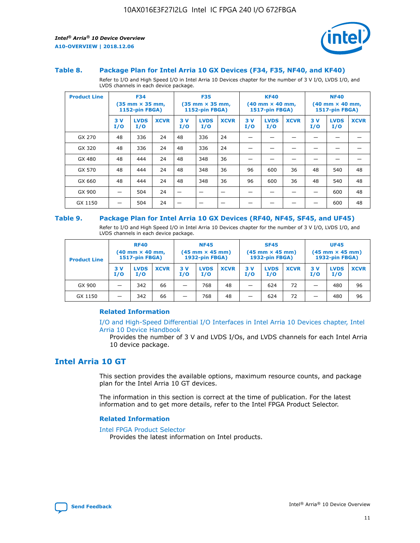

#### **Table 8. Package Plan for Intel Arria 10 GX Devices (F34, F35, NF40, and KF40)**

Refer to I/O and High Speed I/O in Intel Arria 10 Devices chapter for the number of 3 V I/O, LVDS I/O, and LVDS channels in each device package.

| <b>Product Line</b> | <b>F34</b><br>$(35 \text{ mm} \times 35 \text{ mm})$<br>1152-pin FBGA) |                    | <b>F35</b><br>$(35 \text{ mm} \times 35 \text{ mm})$<br><b>1152-pin FBGA)</b> |           | <b>KF40</b><br>$(40$ mm $\times$ 40 mm,<br>1517-pin FBGA) |             |           | <b>NF40</b><br>$(40$ mm $\times$ 40 mm,<br><b>1517-pin FBGA)</b> |             |            |                    |             |
|---------------------|------------------------------------------------------------------------|--------------------|-------------------------------------------------------------------------------|-----------|-----------------------------------------------------------|-------------|-----------|------------------------------------------------------------------|-------------|------------|--------------------|-------------|
|                     | 3V<br>I/O                                                              | <b>LVDS</b><br>I/O | <b>XCVR</b>                                                                   | 3V<br>I/O | <b>LVDS</b><br>I/O                                        | <b>XCVR</b> | 3V<br>I/O | <b>LVDS</b><br>I/O                                               | <b>XCVR</b> | 3 V<br>I/O | <b>LVDS</b><br>I/O | <b>XCVR</b> |
| GX 270              | 48                                                                     | 336                | 24                                                                            | 48        | 336                                                       | 24          |           |                                                                  |             |            |                    |             |
| GX 320              | 48                                                                     | 336                | 24                                                                            | 48        | 336                                                       | 24          |           |                                                                  |             |            |                    |             |
| GX 480              | 48                                                                     | 444                | 24                                                                            | 48        | 348                                                       | 36          |           |                                                                  |             |            |                    |             |
| GX 570              | 48                                                                     | 444                | 24                                                                            | 48        | 348                                                       | 36          | 96        | 600                                                              | 36          | 48         | 540                | 48          |
| GX 660              | 48                                                                     | 444                | 24                                                                            | 48        | 348                                                       | 36          | 96        | 600                                                              | 36          | 48         | 540                | 48          |
| GX 900              |                                                                        | 504                | 24                                                                            | -         |                                                           |             |           |                                                                  |             |            | 600                | 48          |
| GX 1150             |                                                                        | 504                | 24                                                                            |           |                                                           |             |           |                                                                  |             |            | 600                | 48          |

#### **Table 9. Package Plan for Intel Arria 10 GX Devices (RF40, NF45, SF45, and UF45)**

Refer to I/O and High Speed I/O in Intel Arria 10 Devices chapter for the number of 3 V I/O, LVDS I/O, and LVDS channels in each device package.

| <b>Product Line</b> | <b>RF40</b><br>$(40$ mm $\times$ 40 mm,<br>1517-pin FBGA) |                    | <b>NF45</b><br>$(45 \text{ mm} \times 45 \text{ mm})$<br><b>1932-pin FBGA)</b> |            |                    | <b>SF45</b><br>$(45 \text{ mm} \times 45 \text{ mm})$<br><b>1932-pin FBGA)</b> |            |                    | <b>UF45</b><br>$(45 \text{ mm} \times 45 \text{ mm})$<br><b>1932-pin FBGA)</b> |           |                    |             |
|---------------------|-----------------------------------------------------------|--------------------|--------------------------------------------------------------------------------|------------|--------------------|--------------------------------------------------------------------------------|------------|--------------------|--------------------------------------------------------------------------------|-----------|--------------------|-------------|
|                     | 3V<br>I/O                                                 | <b>LVDS</b><br>I/O | <b>XCVR</b>                                                                    | 3 V<br>I/O | <b>LVDS</b><br>I/O | <b>XCVR</b>                                                                    | 3 V<br>I/O | <b>LVDS</b><br>I/O | <b>XCVR</b>                                                                    | 3V<br>I/O | <b>LVDS</b><br>I/O | <b>XCVR</b> |
| GX 900              |                                                           | 342                | 66                                                                             | _          | 768                | 48                                                                             |            | 624                | 72                                                                             |           | 480                | 96          |
| GX 1150             |                                                           | 342                | 66                                                                             | _          | 768                | 48                                                                             |            | 624                | 72                                                                             |           | 480                | 96          |

#### **Related Information**

[I/O and High-Speed Differential I/O Interfaces in Intel Arria 10 Devices chapter, Intel](https://www.intel.com/content/www/us/en/programmable/documentation/sam1403482614086.html#sam1403482030321) [Arria 10 Device Handbook](https://www.intel.com/content/www/us/en/programmable/documentation/sam1403482614086.html#sam1403482030321)

Provides the number of 3 V and LVDS I/Os, and LVDS channels for each Intel Arria 10 device package.

#### **Intel Arria 10 GT**

This section provides the available options, maximum resource counts, and package plan for the Intel Arria 10 GT devices.

The information in this section is correct at the time of publication. For the latest information and to get more details, refer to the Intel FPGA Product Selector.

#### **Related Information**

#### [Intel FPGA Product Selector](http://www.altera.com/products/selector/psg-selector.html)

Provides the latest information on Intel products.

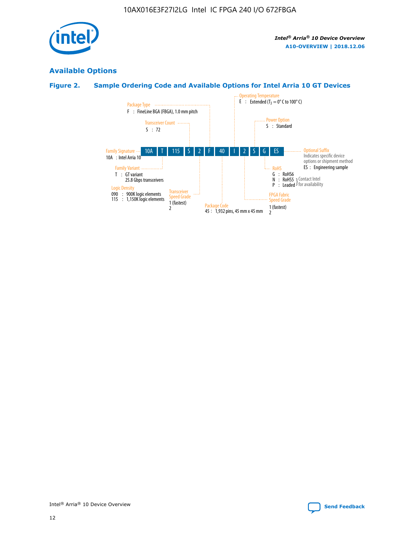

#### **Available Options**

#### **Figure 2. Sample Ordering Code and Available Options for Intel Arria 10 GT Devices**

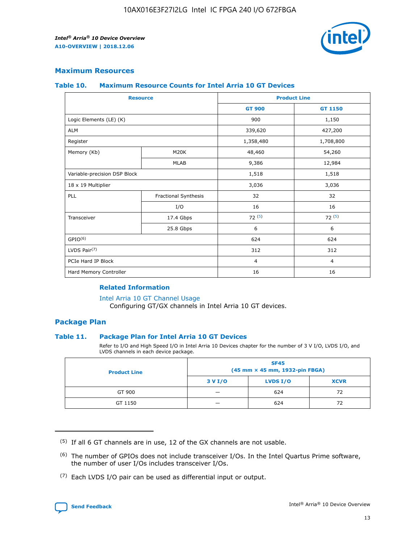

#### **Maximum Resources**

#### **Table 10. Maximum Resource Counts for Intel Arria 10 GT Devices**

|                              | <b>Resource</b>      | <b>Product Line</b> |                |  |
|------------------------------|----------------------|---------------------|----------------|--|
|                              |                      | <b>GT 900</b>       | GT 1150        |  |
| Logic Elements (LE) (K)      |                      | 900                 | 1,150          |  |
| <b>ALM</b>                   |                      | 339,620             | 427,200        |  |
| Register                     |                      | 1,358,480           | 1,708,800      |  |
| Memory (Kb)                  | M20K                 | 48,460              | 54,260         |  |
|                              | <b>MLAB</b>          | 9,386               | 12,984         |  |
| Variable-precision DSP Block |                      | 1,518               | 1,518          |  |
| 18 x 19 Multiplier           |                      | 3,036               | 3,036          |  |
| <b>PLL</b>                   | Fractional Synthesis | 32                  | 32             |  |
|                              | I/O                  | 16                  | 16             |  |
| Transceiver                  | 17.4 Gbps            | 72(5)               | 72(5)          |  |
|                              | 25.8 Gbps            | 6                   | 6              |  |
| GPIO <sup>(6)</sup>          |                      | 624                 | 624            |  |
| LVDS Pair $(7)$              |                      | 312                 | 312            |  |
| PCIe Hard IP Block           |                      | $\overline{4}$      | $\overline{4}$ |  |
| Hard Memory Controller       |                      | 16                  | 16             |  |

#### **Related Information**

#### [Intel Arria 10 GT Channel Usage](https://www.intel.com/content/www/us/en/programmable/documentation/nik1398707230472.html#nik1398707008178)

Configuring GT/GX channels in Intel Arria 10 GT devices.

#### **Package Plan**

#### **Table 11. Package Plan for Intel Arria 10 GT Devices**

Refer to I/O and High Speed I/O in Intel Arria 10 Devices chapter for the number of 3 V I/O, LVDS I/O, and LVDS channels in each device package.

| <b>Product Line</b> | <b>SF45</b><br>(45 mm × 45 mm, 1932-pin FBGA) |                 |             |  |  |  |
|---------------------|-----------------------------------------------|-----------------|-------------|--|--|--|
|                     | 3 V I/O                                       | <b>LVDS I/O</b> | <b>XCVR</b> |  |  |  |
| GT 900              |                                               | 624             | 72          |  |  |  |
| GT 1150             |                                               | 624             | 72          |  |  |  |

<sup>(7)</sup> Each LVDS I/O pair can be used as differential input or output.



 $(5)$  If all 6 GT channels are in use, 12 of the GX channels are not usable.

<sup>(6)</sup> The number of GPIOs does not include transceiver I/Os. In the Intel Quartus Prime software, the number of user I/Os includes transceiver I/Os.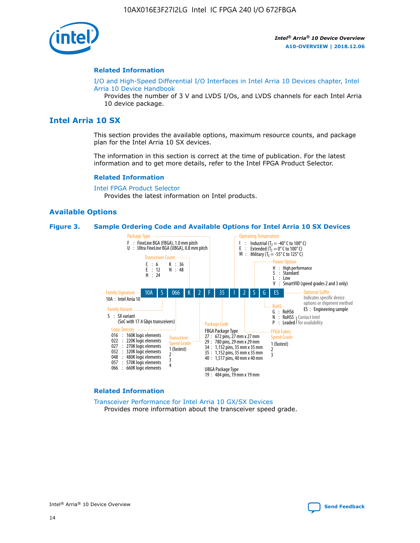

#### **Related Information**

[I/O and High-Speed Differential I/O Interfaces in Intel Arria 10 Devices chapter, Intel](https://www.intel.com/content/www/us/en/programmable/documentation/sam1403482614086.html#sam1403482030321) [Arria 10 Device Handbook](https://www.intel.com/content/www/us/en/programmable/documentation/sam1403482614086.html#sam1403482030321)

Provides the number of 3 V and LVDS I/Os, and LVDS channels for each Intel Arria 10 device package.

#### **Intel Arria 10 SX**

This section provides the available options, maximum resource counts, and package plan for the Intel Arria 10 SX devices.

The information in this section is correct at the time of publication. For the latest information and to get more details, refer to the Intel FPGA Product Selector.

#### **Related Information**

[Intel FPGA Product Selector](http://www.altera.com/products/selector/psg-selector.html) Provides the latest information on Intel products.

#### **Available Options**

#### **Figure 3. Sample Ordering Code and Available Options for Intel Arria 10 SX Devices**



#### **Related Information**

[Transceiver Performance for Intel Arria 10 GX/SX Devices](https://www.intel.com/content/www/us/en/programmable/documentation/mcn1413182292568.html#mcn1413213965502) Provides more information about the transceiver speed grade.

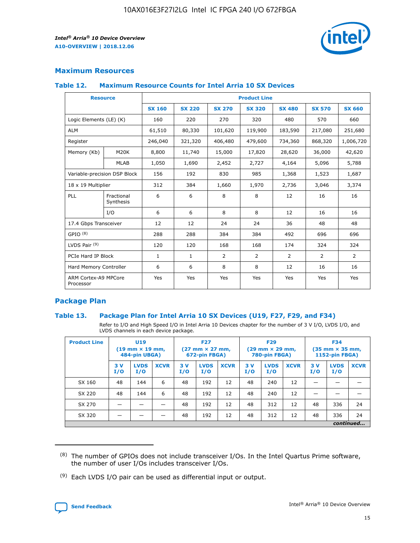

#### **Maximum Resources**

#### **Table 12. Maximum Resource Counts for Intel Arria 10 SX Devices**

|                                   | <b>Resource</b>         | <b>Product Line</b> |               |                |                |                |                |                |  |  |  |
|-----------------------------------|-------------------------|---------------------|---------------|----------------|----------------|----------------|----------------|----------------|--|--|--|
|                                   |                         | <b>SX 160</b>       | <b>SX 220</b> | <b>SX 270</b>  | <b>SX 320</b>  | <b>SX 480</b>  | <b>SX 570</b>  | <b>SX 660</b>  |  |  |  |
| Logic Elements (LE) (K)           |                         | 160                 | 220           | 270            | 320            | 480            | 570            | 660            |  |  |  |
| <b>ALM</b>                        |                         | 61,510              | 80,330        | 101,620        | 119,900        | 183,590        | 217,080        | 251,680        |  |  |  |
| Register                          |                         | 246,040             | 321,320       | 406,480        | 479,600        | 734,360        | 868,320        | 1,006,720      |  |  |  |
| Memory (Kb)                       | <b>M20K</b>             | 8,800               | 11,740        | 15,000         | 17,820         | 28,620         | 36,000         | 42,620         |  |  |  |
|                                   | <b>MLAB</b>             | 1,050               | 1,690         | 2,452          | 2,727          | 4,164          | 5,096          | 5,788          |  |  |  |
| Variable-precision DSP Block      |                         | 156                 | 192           | 830            | 985            | 1,368          | 1,523          | 1,687          |  |  |  |
| 18 x 19 Multiplier                |                         | 312                 | 384           | 1,660          | 1,970          | 2,736          | 3,046          | 3,374          |  |  |  |
| <b>PLL</b>                        | Fractional<br>Synthesis | 6                   | 6             | 8              | 8              | 12             | 16             | 16             |  |  |  |
|                                   | I/O                     | 6                   | 6             | 8              | 8              | 12             | 16             | 16             |  |  |  |
| 17.4 Gbps Transceiver             |                         | 12                  | 12            | 24             | 24             | 36             | 48             | 48             |  |  |  |
| GPIO <sup>(8)</sup>               |                         | 288                 | 288           | 384            | 384            | 492            | 696            | 696            |  |  |  |
| LVDS Pair $(9)$                   |                         | 120                 | 120           | 168            | 168            | 174            | 324            | 324            |  |  |  |
| PCIe Hard IP Block                |                         | $\mathbf{1}$        | $\mathbf{1}$  | $\overline{2}$ | $\overline{2}$ | $\overline{2}$ | $\overline{2}$ | $\overline{2}$ |  |  |  |
| Hard Memory Controller            |                         | 6                   | 6             | 8              | 8              | 12             | 16             | 16             |  |  |  |
| ARM Cortex-A9 MPCore<br>Processor |                         | Yes                 | Yes           | Yes            | Yes            | Yes            | Yes            | Yes            |  |  |  |

#### **Package Plan**

#### **Table 13. Package Plan for Intel Arria 10 SX Devices (U19, F27, F29, and F34)**

Refer to I/O and High Speed I/O in Intel Arria 10 Devices chapter for the number of 3 V I/O, LVDS I/O, and LVDS channels in each device package.

| <b>Product Line</b> | U19<br>$(19 \text{ mm} \times 19 \text{ mm})$<br>484-pin UBGA) |                    | <b>F27</b><br>$(27 \text{ mm} \times 27 \text{ mm})$<br>672-pin FBGA) |           | <b>F29</b><br>$(29 \text{ mm} \times 29 \text{ mm})$<br>780-pin FBGA) |             |            | <b>F34</b><br>$(35 \text{ mm} \times 35 \text{ mm})$<br><b>1152-pin FBGA)</b> |             |           |                    |             |
|---------------------|----------------------------------------------------------------|--------------------|-----------------------------------------------------------------------|-----------|-----------------------------------------------------------------------|-------------|------------|-------------------------------------------------------------------------------|-------------|-----------|--------------------|-------------|
|                     | 3V<br>I/O                                                      | <b>LVDS</b><br>I/O | <b>XCVR</b>                                                           | 3V<br>I/O | <b>LVDS</b><br>I/O                                                    | <b>XCVR</b> | 3 V<br>I/O | <b>LVDS</b><br>I/O                                                            | <b>XCVR</b> | 3V<br>I/O | <b>LVDS</b><br>I/O | <b>XCVR</b> |
| SX 160              | 48                                                             | 144                | 6                                                                     | 48        | 192                                                                   | 12          | 48         | 240                                                                           | 12          | –         |                    |             |
| SX 220              | 48                                                             | 144                | 6                                                                     | 48        | 192                                                                   | 12          | 48         | 240                                                                           | 12          |           |                    |             |
| SX 270              |                                                                |                    |                                                                       | 48        | 192                                                                   | 12          | 48         | 312                                                                           | 12          | 48        | 336                | 24          |
| SX 320              |                                                                |                    |                                                                       | 48        | 192                                                                   | 12          | 48         | 312                                                                           | 12          | 48        | 336                | 24          |
|                     | continued                                                      |                    |                                                                       |           |                                                                       |             |            |                                                                               |             |           |                    |             |

 $(8)$  The number of GPIOs does not include transceiver I/Os. In the Intel Quartus Prime software, the number of user I/Os includes transceiver I/Os.

 $(9)$  Each LVDS I/O pair can be used as differential input or output.

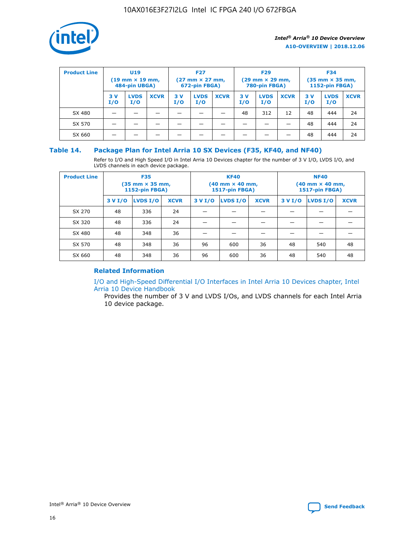

| <b>Product Line</b> | U <sub>19</sub><br>$(19 \text{ mm} \times 19 \text{ mm})$<br>484-pin UBGA) |                    | <b>F27</b><br>$(27 \text{ mm} \times 27 \text{ mm})$<br>672-pin FBGA) |           | <b>F29</b><br>$(29 \text{ mm} \times 29 \text{ mm})$<br>780-pin FBGA) |             |           | <b>F34</b><br>$(35$ mm $\times$ 35 mm,<br><b>1152-pin FBGA)</b> |             |           |                    |             |
|---------------------|----------------------------------------------------------------------------|--------------------|-----------------------------------------------------------------------|-----------|-----------------------------------------------------------------------|-------------|-----------|-----------------------------------------------------------------|-------------|-----------|--------------------|-------------|
|                     | 3V<br>I/O                                                                  | <b>LVDS</b><br>I/O | <b>XCVR</b>                                                           | 3V<br>I/O | <b>LVDS</b><br>I/O                                                    | <b>XCVR</b> | 3V<br>I/O | <b>LVDS</b><br>I/O                                              | <b>XCVR</b> | 3V<br>I/O | <b>LVDS</b><br>I/O | <b>XCVR</b> |
| SX 480              |                                                                            |                    |                                                                       |           |                                                                       |             | 48        | 312                                                             | 12          | 48        | 444                | 24          |
| SX 570              |                                                                            |                    |                                                                       |           |                                                                       |             |           |                                                                 |             | 48        | 444                | 24          |
| SX 660              |                                                                            |                    |                                                                       |           |                                                                       |             |           |                                                                 |             | 48        | 444                | 24          |

#### **Table 14. Package Plan for Intel Arria 10 SX Devices (F35, KF40, and NF40)**

Refer to I/O and High Speed I/O in Intel Arria 10 Devices chapter for the number of 3 V I/O, LVDS I/O, and LVDS channels in each device package.

| <b>Product Line</b> | <b>F35</b><br>(35 mm × 35 mm,<br><b>1152-pin FBGA)</b> |          |             |                                           | <b>KF40</b><br>(40 mm × 40 mm,<br>1517-pin FBGA) |    | <b>NF40</b><br>(40 mm × 40 mm,<br>1517-pin FBGA) |          |             |  |
|---------------------|--------------------------------------------------------|----------|-------------|-------------------------------------------|--------------------------------------------------|----|--------------------------------------------------|----------|-------------|--|
|                     | 3 V I/O                                                | LVDS I/O | <b>XCVR</b> | <b>LVDS I/O</b><br><b>XCVR</b><br>3 V I/O |                                                  |    | 3 V I/O                                          | LVDS I/O | <b>XCVR</b> |  |
| SX 270              | 48                                                     | 336      | 24          |                                           |                                                  |    |                                                  |          |             |  |
| SX 320              | 48                                                     | 336      | 24          |                                           |                                                  |    |                                                  |          |             |  |
| SX 480              | 48                                                     | 348      | 36          |                                           |                                                  |    |                                                  |          |             |  |
| SX 570              | 48                                                     | 348      | 36          | 96<br>36<br>600                           |                                                  |    | 48                                               | 540      | 48          |  |
| SX 660              | 48                                                     | 348      | 36          | 96                                        | 600                                              | 36 | 48                                               | 540      | 48          |  |

#### **Related Information**

[I/O and High-Speed Differential I/O Interfaces in Intel Arria 10 Devices chapter, Intel](https://www.intel.com/content/www/us/en/programmable/documentation/sam1403482614086.html#sam1403482030321) [Arria 10 Device Handbook](https://www.intel.com/content/www/us/en/programmable/documentation/sam1403482614086.html#sam1403482030321)

Provides the number of 3 V and LVDS I/Os, and LVDS channels for each Intel Arria 10 device package.

Intel<sup>®</sup> Arria<sup>®</sup> 10 Device Overview **[Send Feedback](mailto:FPGAtechdocfeedback@intel.com?subject=Feedback%20on%20Intel%20Arria%2010%20Device%20Overview%20(A10-OVERVIEW%202018.12.06)&body=We%20appreciate%20your%20feedback.%20In%20your%20comments,%20also%20specify%20the%20page%20number%20or%20paragraph.%20Thank%20you.)** Send Feedback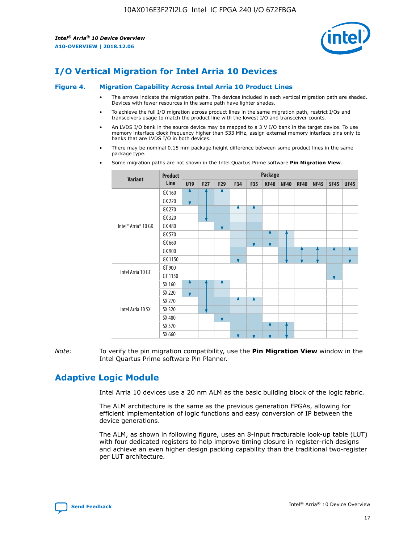

## **I/O Vertical Migration for Intel Arria 10 Devices**

#### **Figure 4. Migration Capability Across Intel Arria 10 Product Lines**

- The arrows indicate the migration paths. The devices included in each vertical migration path are shaded. Devices with fewer resources in the same path have lighter shades.
- To achieve the full I/O migration across product lines in the same migration path, restrict I/Os and transceivers usage to match the product line with the lowest I/O and transceiver counts.
- An LVDS I/O bank in the source device may be mapped to a 3 V I/O bank in the target device. To use memory interface clock frequency higher than 533 MHz, assign external memory interface pins only to banks that are LVDS I/O in both devices.
- There may be nominal 0.15 mm package height difference between some product lines in the same package type.
	- **Variant Product Line Package U19 F27 F29 F34 F35 KF40 NF40 RF40 NF45 SF45 UF45** Intel® Arria® 10 GX GX 160 GX 220 GX 270 GX 320 GX 480 GX 570 GX 660 GX 900 GX 1150 Intel Arria 10 GT GT 900 GT 1150 Intel Arria 10 SX SX 160 SX 220 SX 270 SX 320 SX 480 SX 570 SX 660
- Some migration paths are not shown in the Intel Quartus Prime software **Pin Migration View**.

*Note:* To verify the pin migration compatibility, use the **Pin Migration View** window in the Intel Quartus Prime software Pin Planner.

## **Adaptive Logic Module**

Intel Arria 10 devices use a 20 nm ALM as the basic building block of the logic fabric.

The ALM architecture is the same as the previous generation FPGAs, allowing for efficient implementation of logic functions and easy conversion of IP between the device generations.

The ALM, as shown in following figure, uses an 8-input fracturable look-up table (LUT) with four dedicated registers to help improve timing closure in register-rich designs and achieve an even higher design packing capability than the traditional two-register per LUT architecture.

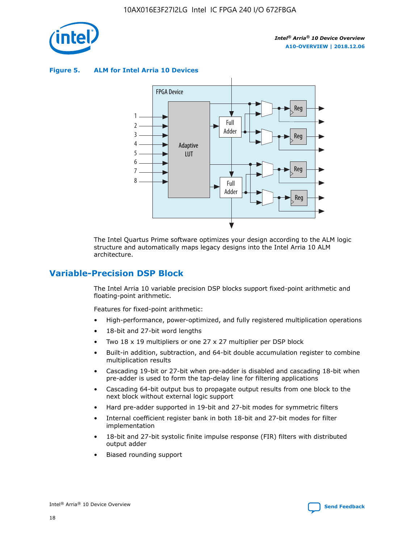

**Figure 5. ALM for Intel Arria 10 Devices**



The Intel Quartus Prime software optimizes your design according to the ALM logic structure and automatically maps legacy designs into the Intel Arria 10 ALM architecture.

## **Variable-Precision DSP Block**

The Intel Arria 10 variable precision DSP blocks support fixed-point arithmetic and floating-point arithmetic.

Features for fixed-point arithmetic:

- High-performance, power-optimized, and fully registered multiplication operations
- 18-bit and 27-bit word lengths
- Two 18 x 19 multipliers or one 27 x 27 multiplier per DSP block
- Built-in addition, subtraction, and 64-bit double accumulation register to combine multiplication results
- Cascading 19-bit or 27-bit when pre-adder is disabled and cascading 18-bit when pre-adder is used to form the tap-delay line for filtering applications
- Cascading 64-bit output bus to propagate output results from one block to the next block without external logic support
- Hard pre-adder supported in 19-bit and 27-bit modes for symmetric filters
- Internal coefficient register bank in both 18-bit and 27-bit modes for filter implementation
- 18-bit and 27-bit systolic finite impulse response (FIR) filters with distributed output adder
- Biased rounding support

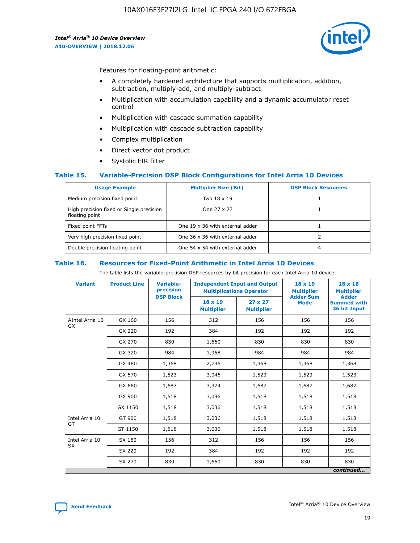

Features for floating-point arithmetic:

- A completely hardened architecture that supports multiplication, addition, subtraction, multiply-add, and multiply-subtract
- Multiplication with accumulation capability and a dynamic accumulator reset control
- Multiplication with cascade summation capability
- Multiplication with cascade subtraction capability
- Complex multiplication
- Direct vector dot product
- Systolic FIR filter

#### **Table 15. Variable-Precision DSP Block Configurations for Intel Arria 10 Devices**

| <b>Usage Example</b>                                       | <b>Multiplier Size (Bit)</b>    | <b>DSP Block Resources</b> |
|------------------------------------------------------------|---------------------------------|----------------------------|
| Medium precision fixed point                               | Two 18 x 19                     |                            |
| High precision fixed or Single precision<br>floating point | One 27 x 27                     |                            |
| Fixed point FFTs                                           | One 19 x 36 with external adder |                            |
| Very high precision fixed point                            | One 36 x 36 with external adder |                            |
| Double precision floating point                            | One 54 x 54 with external adder | 4                          |

#### **Table 16. Resources for Fixed-Point Arithmetic in Intel Arria 10 Devices**

The table lists the variable-precision DSP resources by bit precision for each Intel Arria 10 device.

| <b>Variant</b>        | <b>Product Line</b> | <b>Variable-</b><br>precision<br><b>DSP Block</b> | <b>Independent Input and Output</b><br><b>Multiplications Operator</b> |                                     | 18 x 19<br><b>Multiplier</b><br><b>Adder Sum</b> | $18 \times 18$<br><b>Multiplier</b><br><b>Adder</b> |
|-----------------------|---------------------|---------------------------------------------------|------------------------------------------------------------------------|-------------------------------------|--------------------------------------------------|-----------------------------------------------------|
|                       |                     |                                                   | 18 x 19<br><b>Multiplier</b>                                           | $27 \times 27$<br><b>Multiplier</b> | <b>Mode</b>                                      | <b>Summed with</b><br>36 bit Input                  |
| AIntel Arria 10<br>GX | GX 160              | 156                                               | 312                                                                    | 156                                 | 156                                              | 156                                                 |
|                       | GX 220              | 192                                               | 384                                                                    | 192                                 | 192                                              | 192                                                 |
|                       | GX 270              | 830                                               | 1,660                                                                  | 830                                 | 830                                              | 830                                                 |
|                       | GX 320              | 984                                               | 1,968                                                                  | 984                                 | 984                                              | 984                                                 |
|                       | GX 480              | 1,368                                             | 2,736                                                                  | 1,368                               | 1,368                                            | 1,368                                               |
|                       | GX 570              | 1,523                                             | 3,046                                                                  | 1,523                               | 1,523                                            | 1,523                                               |
|                       | GX 660              | 1,687                                             | 3,374                                                                  | 1,687                               | 1,687                                            | 1,687                                               |
|                       | GX 900              | 1,518                                             | 3,036                                                                  | 1,518                               | 1,518                                            | 1,518                                               |
|                       | GX 1150             | 1,518                                             | 3,036                                                                  | 1,518                               | 1,518                                            | 1,518                                               |
| Intel Arria 10        | GT 900              | 1,518                                             | 3,036                                                                  | 1,518                               | 1,518                                            | 1,518                                               |
| GT                    | GT 1150             | 1,518                                             | 3,036                                                                  | 1,518                               | 1,518                                            | 1,518                                               |
| Intel Arria 10        | SX 160              | 156                                               | 312                                                                    | 156                                 | 156                                              | 156                                                 |
| <b>SX</b>             | SX 220              | 192                                               | 384                                                                    | 192                                 | 192                                              | 192                                                 |
|                       | SX 270              | 830                                               | 1,660                                                                  | 830                                 | 830                                              | 830                                                 |
|                       |                     |                                                   |                                                                        |                                     |                                                  | continued                                           |

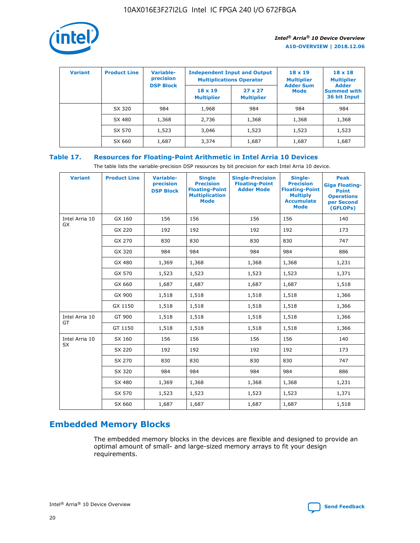

| <b>Variant</b> | <b>Product Line</b> | Variable-<br>precision | <b>Independent Input and Output</b><br><b>Multiplications Operator</b> |                                     | $18 \times 19$<br><b>Multiplier</b> | $18 \times 18$<br><b>Multiplier</b><br><b>Adder</b> |  |
|----------------|---------------------|------------------------|------------------------------------------------------------------------|-------------------------------------|-------------------------------------|-----------------------------------------------------|--|
|                |                     | <b>DSP Block</b>       | $18 \times 19$<br><b>Multiplier</b>                                    | $27 \times 27$<br><b>Multiplier</b> | <b>Adder Sum</b><br><b>Mode</b>     | <b>Summed with</b><br>36 bit Input                  |  |
|                | SX 320              | 984                    | 1,968                                                                  | 984                                 | 984                                 | 984                                                 |  |
|                | SX 480              | 1,368                  | 2,736                                                                  | 1,368                               | 1,368                               | 1,368                                               |  |
|                | SX 570              | 1,523                  | 3,046                                                                  | 1,523                               | 1,523                               | 1,523                                               |  |
|                | SX 660              | 1,687                  | 3,374                                                                  | 1,687                               | 1,687                               | 1,687                                               |  |

#### **Table 17. Resources for Floating-Point Arithmetic in Intel Arria 10 Devices**

The table lists the variable-precision DSP resources by bit precision for each Intel Arria 10 device.

| <b>Variant</b> | <b>Product Line</b> | <b>Variable-</b><br>precision<br><b>DSP Block</b> | <b>Single</b><br><b>Precision</b><br><b>Floating-Point</b><br><b>Multiplication</b><br><b>Mode</b> | <b>Single-Precision</b><br><b>Floating-Point</b><br><b>Adder Mode</b> | Single-<br><b>Precision</b><br><b>Floating-Point</b><br><b>Multiply</b><br><b>Accumulate</b><br><b>Mode</b> | <b>Peak</b><br><b>Giga Floating-</b><br><b>Point</b><br><b>Operations</b><br>per Second<br>(GFLOPs) |
|----------------|---------------------|---------------------------------------------------|----------------------------------------------------------------------------------------------------|-----------------------------------------------------------------------|-------------------------------------------------------------------------------------------------------------|-----------------------------------------------------------------------------------------------------|
| Intel Arria 10 | GX 160              | 156                                               | 156                                                                                                | 156                                                                   | 156                                                                                                         | 140                                                                                                 |
| GX             | GX 220              | 192                                               | 192                                                                                                | 192                                                                   | 192                                                                                                         | 173                                                                                                 |
|                | GX 270              | 830                                               | 830                                                                                                | 830                                                                   | 830                                                                                                         | 747                                                                                                 |
|                | GX 320              | 984                                               | 984                                                                                                | 984                                                                   | 984                                                                                                         | 886                                                                                                 |
|                | GX 480              | 1,369                                             | 1,368                                                                                              | 1,368                                                                 | 1,368                                                                                                       | 1,231                                                                                               |
|                | GX 570              | 1,523                                             | 1,523                                                                                              | 1,523                                                                 | 1,523                                                                                                       | 1,371                                                                                               |
|                | GX 660              | 1,687                                             | 1,687                                                                                              | 1,687                                                                 | 1,687                                                                                                       | 1,518                                                                                               |
|                | GX 900              | 1,518                                             | 1,518                                                                                              | 1,518                                                                 | 1,518                                                                                                       | 1,366                                                                                               |
|                | GX 1150             | 1,518                                             | 1,518                                                                                              | 1,518                                                                 | 1,518                                                                                                       | 1,366                                                                                               |
| Intel Arria 10 | GT 900              | 1,518                                             | 1,518                                                                                              | 1,518                                                                 | 1,518                                                                                                       | 1,366                                                                                               |
| GT             | GT 1150             | 1,518                                             | 1,518                                                                                              | 1,518                                                                 | 1,518                                                                                                       | 1,366                                                                                               |
| Intel Arria 10 | SX 160              | 156                                               | 156                                                                                                | 156                                                                   | 156                                                                                                         | 140                                                                                                 |
| <b>SX</b>      | SX 220              | 192                                               | 192                                                                                                | 192                                                                   | 192                                                                                                         | 173                                                                                                 |
|                | SX 270              | 830                                               | 830                                                                                                | 830                                                                   | 830                                                                                                         | 747                                                                                                 |
|                | SX 320              | 984                                               | 984                                                                                                | 984                                                                   | 984                                                                                                         | 886                                                                                                 |
|                | SX 480              | 1,369                                             | 1,368                                                                                              | 1,368                                                                 | 1,368                                                                                                       | 1,231                                                                                               |
|                | SX 570              | 1,523                                             | 1,523                                                                                              | 1,523                                                                 | 1,523                                                                                                       | 1,371                                                                                               |
|                | SX 660              | 1,687                                             | 1,687                                                                                              | 1,687                                                                 | 1,687                                                                                                       | 1,518                                                                                               |

## **Embedded Memory Blocks**

The embedded memory blocks in the devices are flexible and designed to provide an optimal amount of small- and large-sized memory arrays to fit your design requirements.

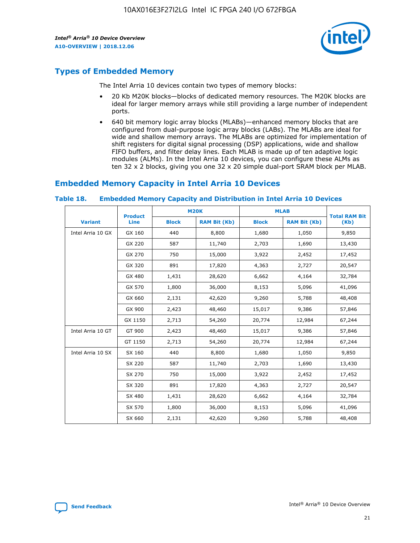

## **Types of Embedded Memory**

The Intel Arria 10 devices contain two types of memory blocks:

- 20 Kb M20K blocks—blocks of dedicated memory resources. The M20K blocks are ideal for larger memory arrays while still providing a large number of independent ports.
- 640 bit memory logic array blocks (MLABs)—enhanced memory blocks that are configured from dual-purpose logic array blocks (LABs). The MLABs are ideal for wide and shallow memory arrays. The MLABs are optimized for implementation of shift registers for digital signal processing (DSP) applications, wide and shallow FIFO buffers, and filter delay lines. Each MLAB is made up of ten adaptive logic modules (ALMs). In the Intel Arria 10 devices, you can configure these ALMs as ten 32 x 2 blocks, giving you one 32 x 20 simple dual-port SRAM block per MLAB.

## **Embedded Memory Capacity in Intel Arria 10 Devices**

|                   | <b>Product</b> |              | <b>M20K</b>         | <b>MLAB</b>  |                     | <b>Total RAM Bit</b> |
|-------------------|----------------|--------------|---------------------|--------------|---------------------|----------------------|
| <b>Variant</b>    | <b>Line</b>    | <b>Block</b> | <b>RAM Bit (Kb)</b> | <b>Block</b> | <b>RAM Bit (Kb)</b> | (Kb)                 |
| Intel Arria 10 GX | GX 160         | 440          | 8,800               | 1,680        | 1,050               | 9,850                |
|                   | GX 220         | 587          | 11,740              | 2,703        | 1,690               | 13,430               |
|                   | GX 270         | 750          | 15,000              | 3,922        | 2,452               | 17,452               |
|                   | GX 320         | 891          | 17,820              | 4,363        | 2,727               | 20,547               |
|                   | GX 480         | 1,431        | 28,620              | 6,662        | 4,164               | 32,784               |
|                   | GX 570         | 1,800        | 36,000              | 8,153        | 5,096               | 41,096               |
|                   | GX 660         | 2,131        | 42,620              | 9,260        | 5,788               | 48,408               |
|                   | GX 900         | 2,423        | 48,460              | 15,017       | 9,386               | 57,846               |
|                   | GX 1150        | 2,713        | 54,260              | 20,774       | 12,984              | 67,244               |
| Intel Arria 10 GT | GT 900         | 2,423        | 48,460              | 15,017       | 9,386               | 57,846               |
|                   | GT 1150        | 2,713        | 54,260              | 20,774       | 12,984              | 67,244               |
| Intel Arria 10 SX | SX 160         | 440          | 8,800               | 1,680        | 1,050               | 9,850                |
|                   | SX 220         | 587          | 11,740              | 2,703        | 1,690               | 13,430               |
|                   | SX 270         | 750          | 15,000              | 3,922        | 2,452               | 17,452               |
|                   | SX 320         | 891          | 17,820              | 4,363        | 2,727               | 20,547               |
|                   | SX 480         | 1,431        | 28,620              | 6,662        | 4,164               | 32,784               |
|                   | SX 570         | 1,800        | 36,000              | 8,153        | 5,096               | 41,096               |
|                   | SX 660         | 2,131        | 42,620              | 9,260        | 5,788               | 48,408               |

#### **Table 18. Embedded Memory Capacity and Distribution in Intel Arria 10 Devices**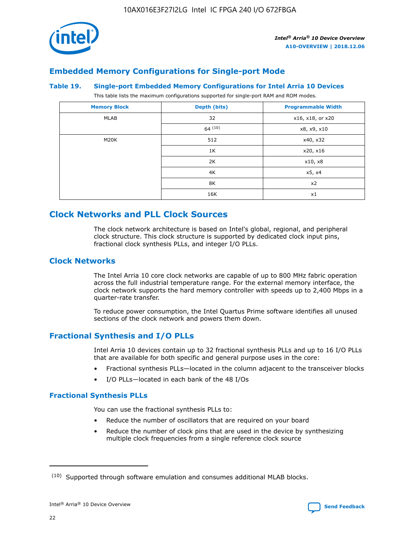

## **Embedded Memory Configurations for Single-port Mode**

#### **Table 19. Single-port Embedded Memory Configurations for Intel Arria 10 Devices**

This table lists the maximum configurations supported for single-port RAM and ROM modes.

| <b>Memory Block</b> | Depth (bits) | <b>Programmable Width</b> |
|---------------------|--------------|---------------------------|
| MLAB                | 32           | x16, x18, or x20          |
|                     | 64(10)       | x8, x9, x10               |
| M20K                | 512          | x40, x32                  |
|                     | 1K           | x20, x16                  |
|                     | 2K           | x10, x8                   |
|                     | 4K           | x5, x4                    |
|                     | 8K           | x2                        |
|                     | 16K          | x1                        |

## **Clock Networks and PLL Clock Sources**

The clock network architecture is based on Intel's global, regional, and peripheral clock structure. This clock structure is supported by dedicated clock input pins, fractional clock synthesis PLLs, and integer I/O PLLs.

#### **Clock Networks**

The Intel Arria 10 core clock networks are capable of up to 800 MHz fabric operation across the full industrial temperature range. For the external memory interface, the clock network supports the hard memory controller with speeds up to 2,400 Mbps in a quarter-rate transfer.

To reduce power consumption, the Intel Quartus Prime software identifies all unused sections of the clock network and powers them down.

#### **Fractional Synthesis and I/O PLLs**

Intel Arria 10 devices contain up to 32 fractional synthesis PLLs and up to 16 I/O PLLs that are available for both specific and general purpose uses in the core:

- Fractional synthesis PLLs—located in the column adjacent to the transceiver blocks
- I/O PLLs—located in each bank of the 48 I/Os

#### **Fractional Synthesis PLLs**

You can use the fractional synthesis PLLs to:

- Reduce the number of oscillators that are required on your board
- Reduce the number of clock pins that are used in the device by synthesizing multiple clock frequencies from a single reference clock source

<sup>(10)</sup> Supported through software emulation and consumes additional MLAB blocks.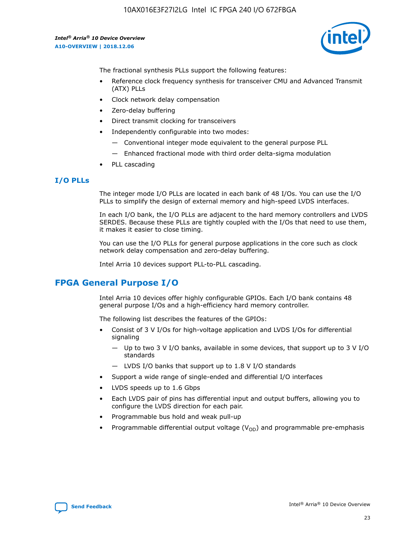

The fractional synthesis PLLs support the following features:

- Reference clock frequency synthesis for transceiver CMU and Advanced Transmit (ATX) PLLs
- Clock network delay compensation
- Zero-delay buffering
- Direct transmit clocking for transceivers
- Independently configurable into two modes:
	- Conventional integer mode equivalent to the general purpose PLL
	- Enhanced fractional mode with third order delta-sigma modulation
- PLL cascading

#### **I/O PLLs**

The integer mode I/O PLLs are located in each bank of 48 I/Os. You can use the I/O PLLs to simplify the design of external memory and high-speed LVDS interfaces.

In each I/O bank, the I/O PLLs are adjacent to the hard memory controllers and LVDS SERDES. Because these PLLs are tightly coupled with the I/Os that need to use them, it makes it easier to close timing.

You can use the I/O PLLs for general purpose applications in the core such as clock network delay compensation and zero-delay buffering.

Intel Arria 10 devices support PLL-to-PLL cascading.

#### **FPGA General Purpose I/O**

Intel Arria 10 devices offer highly configurable GPIOs. Each I/O bank contains 48 general purpose I/Os and a high-efficiency hard memory controller.

The following list describes the features of the GPIOs:

- Consist of 3 V I/Os for high-voltage application and LVDS I/Os for differential signaling
	- Up to two 3 V I/O banks, available in some devices, that support up to 3 V I/O standards
	- LVDS I/O banks that support up to 1.8 V I/O standards
- Support a wide range of single-ended and differential I/O interfaces
- LVDS speeds up to 1.6 Gbps
- Each LVDS pair of pins has differential input and output buffers, allowing you to configure the LVDS direction for each pair.
- Programmable bus hold and weak pull-up
- Programmable differential output voltage  $(V_{OD})$  and programmable pre-emphasis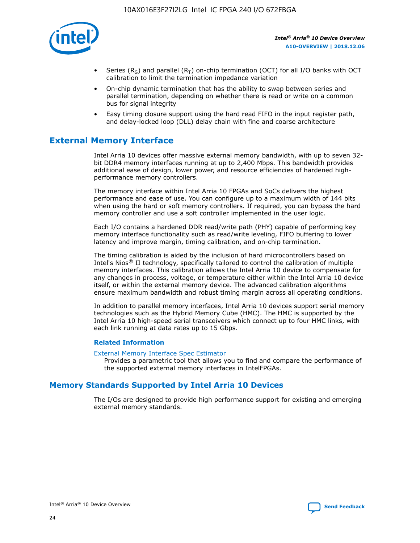

- Series (R<sub>S</sub>) and parallel (R<sub>T</sub>) on-chip termination (OCT) for all I/O banks with OCT calibration to limit the termination impedance variation
- On-chip dynamic termination that has the ability to swap between series and parallel termination, depending on whether there is read or write on a common bus for signal integrity
- Easy timing closure support using the hard read FIFO in the input register path, and delay-locked loop (DLL) delay chain with fine and coarse architecture

## **External Memory Interface**

Intel Arria 10 devices offer massive external memory bandwidth, with up to seven 32 bit DDR4 memory interfaces running at up to 2,400 Mbps. This bandwidth provides additional ease of design, lower power, and resource efficiencies of hardened highperformance memory controllers.

The memory interface within Intel Arria 10 FPGAs and SoCs delivers the highest performance and ease of use. You can configure up to a maximum width of 144 bits when using the hard or soft memory controllers. If required, you can bypass the hard memory controller and use a soft controller implemented in the user logic.

Each I/O contains a hardened DDR read/write path (PHY) capable of performing key memory interface functionality such as read/write leveling, FIFO buffering to lower latency and improve margin, timing calibration, and on-chip termination.

The timing calibration is aided by the inclusion of hard microcontrollers based on Intel's Nios® II technology, specifically tailored to control the calibration of multiple memory interfaces. This calibration allows the Intel Arria 10 device to compensate for any changes in process, voltage, or temperature either within the Intel Arria 10 device itself, or within the external memory device. The advanced calibration algorithms ensure maximum bandwidth and robust timing margin across all operating conditions.

In addition to parallel memory interfaces, Intel Arria 10 devices support serial memory technologies such as the Hybrid Memory Cube (HMC). The HMC is supported by the Intel Arria 10 high-speed serial transceivers which connect up to four HMC links, with each link running at data rates up to 15 Gbps.

#### **Related Information**

#### [External Memory Interface Spec Estimator](http://www.altera.com/technology/memory/estimator/mem-emif-index.html)

Provides a parametric tool that allows you to find and compare the performance of the supported external memory interfaces in IntelFPGAs.

#### **Memory Standards Supported by Intel Arria 10 Devices**

The I/Os are designed to provide high performance support for existing and emerging external memory standards.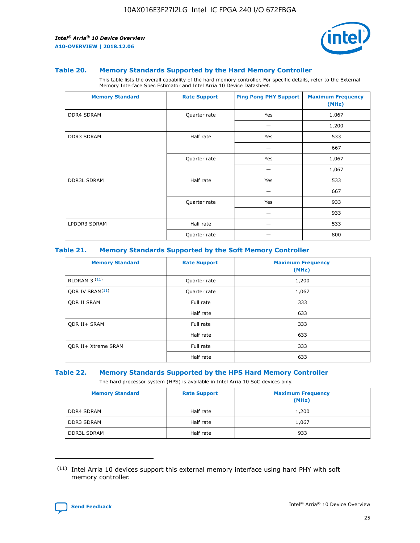

#### **Table 20. Memory Standards Supported by the Hard Memory Controller**

This table lists the overall capability of the hard memory controller. For specific details, refer to the External Memory Interface Spec Estimator and Intel Arria 10 Device Datasheet.

| <b>Memory Standard</b> | <b>Rate Support</b> | <b>Ping Pong PHY Support</b> | <b>Maximum Frequency</b><br>(MHz) |
|------------------------|---------------------|------------------------------|-----------------------------------|
| <b>DDR4 SDRAM</b>      | Quarter rate        | Yes                          | 1,067                             |
|                        |                     |                              | 1,200                             |
| <b>DDR3 SDRAM</b>      | Half rate           | Yes                          | 533                               |
|                        |                     |                              | 667                               |
|                        | Quarter rate        | Yes                          | 1,067                             |
|                        |                     |                              | 1,067                             |
| <b>DDR3L SDRAM</b>     | Half rate           | Yes                          | 533                               |
|                        |                     |                              | 667                               |
|                        | Quarter rate        | Yes                          | 933                               |
|                        |                     |                              | 933                               |
| LPDDR3 SDRAM           | Half rate           |                              | 533                               |
|                        | Quarter rate        |                              | 800                               |

#### **Table 21. Memory Standards Supported by the Soft Memory Controller**

| <b>Memory Standard</b>      | <b>Rate Support</b> | <b>Maximum Frequency</b><br>(MHz) |
|-----------------------------|---------------------|-----------------------------------|
| <b>RLDRAM 3 (11)</b>        | Quarter rate        | 1,200                             |
| ODR IV SRAM <sup>(11)</sup> | Quarter rate        | 1,067                             |
| <b>ODR II SRAM</b>          | Full rate           | 333                               |
|                             | Half rate           | 633                               |
| <b>ODR II+ SRAM</b>         | Full rate           | 333                               |
|                             | Half rate           | 633                               |
| <b>ODR II+ Xtreme SRAM</b>  | Full rate           | 333                               |
|                             | Half rate           | 633                               |

#### **Table 22. Memory Standards Supported by the HPS Hard Memory Controller**

The hard processor system (HPS) is available in Intel Arria 10 SoC devices only.

| <b>Memory Standard</b> | <b>Rate Support</b> | <b>Maximum Frequency</b><br>(MHz) |
|------------------------|---------------------|-----------------------------------|
| <b>DDR4 SDRAM</b>      | Half rate           | 1,200                             |
| <b>DDR3 SDRAM</b>      | Half rate           | 1,067                             |
| <b>DDR3L SDRAM</b>     | Half rate           | 933                               |

<sup>(11)</sup> Intel Arria 10 devices support this external memory interface using hard PHY with soft memory controller.

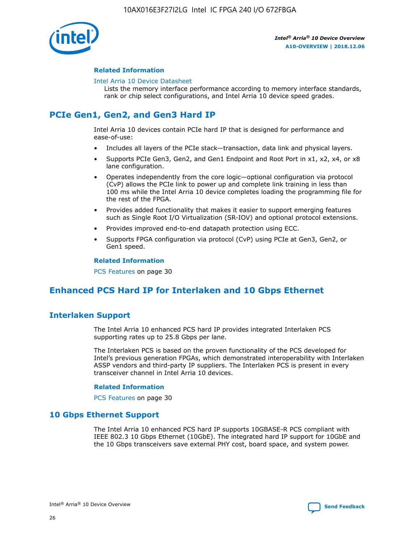

#### **Related Information**

#### [Intel Arria 10 Device Datasheet](https://www.intel.com/content/www/us/en/programmable/documentation/mcn1413182292568.html#mcn1413182153340)

Lists the memory interface performance according to memory interface standards, rank or chip select configurations, and Intel Arria 10 device speed grades.

## **PCIe Gen1, Gen2, and Gen3 Hard IP**

Intel Arria 10 devices contain PCIe hard IP that is designed for performance and ease-of-use:

- Includes all layers of the PCIe stack—transaction, data link and physical layers.
- Supports PCIe Gen3, Gen2, and Gen1 Endpoint and Root Port in x1, x2, x4, or x8 lane configuration.
- Operates independently from the core logic—optional configuration via protocol (CvP) allows the PCIe link to power up and complete link training in less than 100 ms while the Intel Arria 10 device completes loading the programming file for the rest of the FPGA.
- Provides added functionality that makes it easier to support emerging features such as Single Root I/O Virtualization (SR-IOV) and optional protocol extensions.
- Provides improved end-to-end datapath protection using ECC.
- Supports FPGA configuration via protocol (CvP) using PCIe at Gen3, Gen2, or Gen1 speed.

#### **Related Information**

PCS Features on page 30

## **Enhanced PCS Hard IP for Interlaken and 10 Gbps Ethernet**

#### **Interlaken Support**

The Intel Arria 10 enhanced PCS hard IP provides integrated Interlaken PCS supporting rates up to 25.8 Gbps per lane.

The Interlaken PCS is based on the proven functionality of the PCS developed for Intel's previous generation FPGAs, which demonstrated interoperability with Interlaken ASSP vendors and third-party IP suppliers. The Interlaken PCS is present in every transceiver channel in Intel Arria 10 devices.

#### **Related Information**

PCS Features on page 30

#### **10 Gbps Ethernet Support**

The Intel Arria 10 enhanced PCS hard IP supports 10GBASE-R PCS compliant with IEEE 802.3 10 Gbps Ethernet (10GbE). The integrated hard IP support for 10GbE and the 10 Gbps transceivers save external PHY cost, board space, and system power.

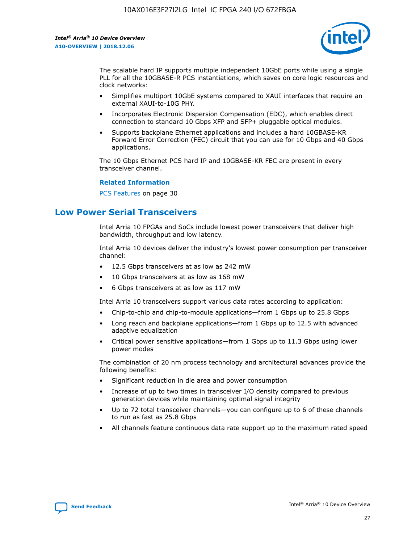

The scalable hard IP supports multiple independent 10GbE ports while using a single PLL for all the 10GBASE-R PCS instantiations, which saves on core logic resources and clock networks:

- Simplifies multiport 10GbE systems compared to XAUI interfaces that require an external XAUI-to-10G PHY.
- Incorporates Electronic Dispersion Compensation (EDC), which enables direct connection to standard 10 Gbps XFP and SFP+ pluggable optical modules.
- Supports backplane Ethernet applications and includes a hard 10GBASE-KR Forward Error Correction (FEC) circuit that you can use for 10 Gbps and 40 Gbps applications.

The 10 Gbps Ethernet PCS hard IP and 10GBASE-KR FEC are present in every transceiver channel.

#### **Related Information**

PCS Features on page 30

## **Low Power Serial Transceivers**

Intel Arria 10 FPGAs and SoCs include lowest power transceivers that deliver high bandwidth, throughput and low latency.

Intel Arria 10 devices deliver the industry's lowest power consumption per transceiver channel:

- 12.5 Gbps transceivers at as low as 242 mW
- 10 Gbps transceivers at as low as 168 mW
- 6 Gbps transceivers at as low as 117 mW

Intel Arria 10 transceivers support various data rates according to application:

- Chip-to-chip and chip-to-module applications—from 1 Gbps up to 25.8 Gbps
- Long reach and backplane applications—from 1 Gbps up to 12.5 with advanced adaptive equalization
- Critical power sensitive applications—from 1 Gbps up to 11.3 Gbps using lower power modes

The combination of 20 nm process technology and architectural advances provide the following benefits:

- Significant reduction in die area and power consumption
- Increase of up to two times in transceiver I/O density compared to previous generation devices while maintaining optimal signal integrity
- Up to 72 total transceiver channels—you can configure up to 6 of these channels to run as fast as 25.8 Gbps
- All channels feature continuous data rate support up to the maximum rated speed

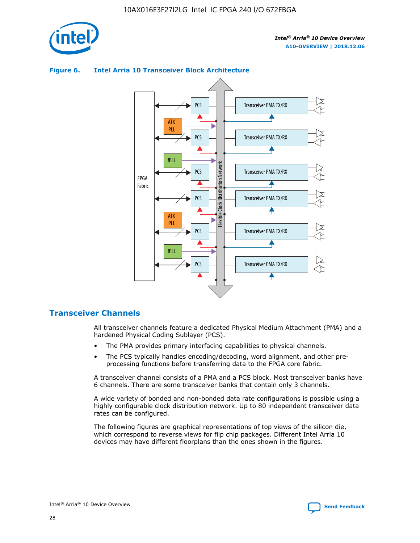

#### Transceiver PMA TX/RX PCS ATX PLL Transceiver PMA TX/RX PCS fPLL Network Flexible Clock Distribution Network PCS Transceiver PMA TX/RX FPGA **Clock Distribution** Fabric PCS Transceiver PMA TX/RX ATX Flexible PLL PCS Transceiver PMA TX/RX ▲ fPLL Transceiver PMA TX/RX PCS 4

#### **Figure 6. Intel Arria 10 Transceiver Block Architecture**

#### **Transceiver Channels**

All transceiver channels feature a dedicated Physical Medium Attachment (PMA) and a hardened Physical Coding Sublayer (PCS).

- The PMA provides primary interfacing capabilities to physical channels.
- The PCS typically handles encoding/decoding, word alignment, and other preprocessing functions before transferring data to the FPGA core fabric.

A transceiver channel consists of a PMA and a PCS block. Most transceiver banks have 6 channels. There are some transceiver banks that contain only 3 channels.

A wide variety of bonded and non-bonded data rate configurations is possible using a highly configurable clock distribution network. Up to 80 independent transceiver data rates can be configured.

The following figures are graphical representations of top views of the silicon die, which correspond to reverse views for flip chip packages. Different Intel Arria 10 devices may have different floorplans than the ones shown in the figures.

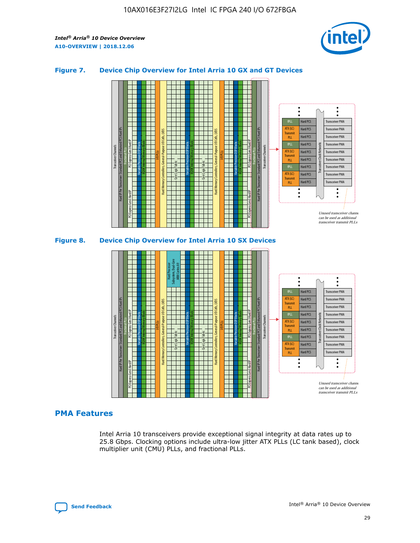

#### **Figure 7. Device Chip Overview for Intel Arria 10 GX and GT Devices**



#### **PMA Features**

Intel Arria 10 transceivers provide exceptional signal integrity at data rates up to 25.8 Gbps. Clocking options include ultra-low jitter ATX PLLs (LC tank based), clock multiplier unit (CMU) PLLs, and fractional PLLs.



Hard PCS Hard PCS Hard PCS Hard PCS Hard PCS

ATX (LC) Transmi PLL fPLL ATX (LC) **Transmit** PLL

Transceiver PMA Transceiver PMA Transceiver PMA

Transceiver PMA Transceiver PMA

Unused transceiver chann can be used as additional transceiver transmit PLLs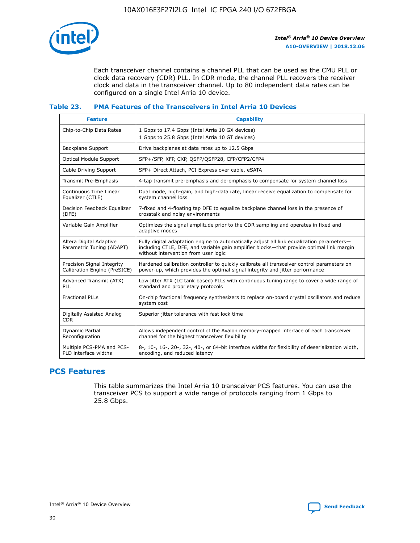

Each transceiver channel contains a channel PLL that can be used as the CMU PLL or clock data recovery (CDR) PLL. In CDR mode, the channel PLL recovers the receiver clock and data in the transceiver channel. Up to 80 independent data rates can be configured on a single Intel Arria 10 device.

#### **Table 23. PMA Features of the Transceivers in Intel Arria 10 Devices**

| <b>Feature</b>                                             | <b>Capability</b>                                                                                                                                                                                                             |
|------------------------------------------------------------|-------------------------------------------------------------------------------------------------------------------------------------------------------------------------------------------------------------------------------|
| Chip-to-Chip Data Rates                                    | 1 Gbps to 17.4 Gbps (Intel Arria 10 GX devices)<br>1 Gbps to 25.8 Gbps (Intel Arria 10 GT devices)                                                                                                                            |
| <b>Backplane Support</b>                                   | Drive backplanes at data rates up to 12.5 Gbps                                                                                                                                                                                |
| <b>Optical Module Support</b>                              | SFP+/SFP, XFP, CXP, QSFP/QSFP28, CFP/CFP2/CFP4                                                                                                                                                                                |
| Cable Driving Support                                      | SFP+ Direct Attach, PCI Express over cable, eSATA                                                                                                                                                                             |
| Transmit Pre-Emphasis                                      | 4-tap transmit pre-emphasis and de-emphasis to compensate for system channel loss                                                                                                                                             |
| Continuous Time Linear<br>Equalizer (CTLE)                 | Dual mode, high-gain, and high-data rate, linear receive equalization to compensate for<br>system channel loss                                                                                                                |
| Decision Feedback Equalizer<br>(DFE)                       | 7-fixed and 4-floating tap DFE to equalize backplane channel loss in the presence of<br>crosstalk and noisy environments                                                                                                      |
| Variable Gain Amplifier                                    | Optimizes the signal amplitude prior to the CDR sampling and operates in fixed and<br>adaptive modes                                                                                                                          |
| Altera Digital Adaptive<br>Parametric Tuning (ADAPT)       | Fully digital adaptation engine to automatically adjust all link equalization parameters-<br>including CTLE, DFE, and variable gain amplifier blocks—that provide optimal link margin<br>without intervention from user logic |
| Precision Signal Integrity<br>Calibration Engine (PreSICE) | Hardened calibration controller to quickly calibrate all transceiver control parameters on<br>power-up, which provides the optimal signal integrity and jitter performance                                                    |
| Advanced Transmit (ATX)<br><b>PLL</b>                      | Low jitter ATX (LC tank based) PLLs with continuous tuning range to cover a wide range of<br>standard and proprietary protocols                                                                                               |
| <b>Fractional PLLs</b>                                     | On-chip fractional frequency synthesizers to replace on-board crystal oscillators and reduce<br>system cost                                                                                                                   |
| Digitally Assisted Analog<br><b>CDR</b>                    | Superior jitter tolerance with fast lock time                                                                                                                                                                                 |
| <b>Dynamic Partial</b><br>Reconfiguration                  | Allows independent control of the Avalon memory-mapped interface of each transceiver<br>channel for the highest transceiver flexibility                                                                                       |
| Multiple PCS-PMA and PCS-<br>PLD interface widths          | 8-, 10-, 16-, 20-, 32-, 40-, or 64-bit interface widths for flexibility of deserialization width,<br>encoding, and reduced latency                                                                                            |

#### **PCS Features**

This table summarizes the Intel Arria 10 transceiver PCS features. You can use the transceiver PCS to support a wide range of protocols ranging from 1 Gbps to 25.8 Gbps.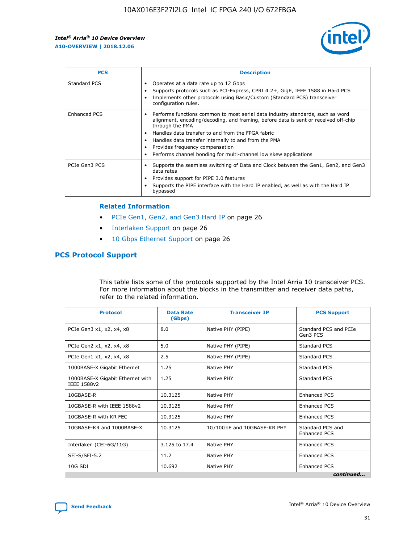

| <b>PCS</b>          | <b>Description</b>                                                                                                                                                                                                                                                                                                                                                                                             |
|---------------------|----------------------------------------------------------------------------------------------------------------------------------------------------------------------------------------------------------------------------------------------------------------------------------------------------------------------------------------------------------------------------------------------------------------|
| Standard PCS        | Operates at a data rate up to 12 Gbps<br>Supports protocols such as PCI-Express, CPRI 4.2+, GigE, IEEE 1588 in Hard PCS<br>Implements other protocols using Basic/Custom (Standard PCS) transceiver<br>configuration rules.                                                                                                                                                                                    |
| <b>Enhanced PCS</b> | Performs functions common to most serial data industry standards, such as word<br>alignment, encoding/decoding, and framing, before data is sent or received off-chip<br>through the PMA<br>• Handles data transfer to and from the FPGA fabric<br>Handles data transfer internally to and from the PMA<br>Provides frequency compensation<br>Performs channel bonding for multi-channel low skew applications |
| PCIe Gen3 PCS       | Supports the seamless switching of Data and Clock between the Gen1, Gen2, and Gen3<br>data rates<br>Provides support for PIPE 3.0 features<br>Supports the PIPE interface with the Hard IP enabled, as well as with the Hard IP<br>bypassed                                                                                                                                                                    |

#### **Related Information**

- PCIe Gen1, Gen2, and Gen3 Hard IP on page 26
- Interlaken Support on page 26
- 10 Gbps Ethernet Support on page 26

#### **PCS Protocol Support**

This table lists some of the protocols supported by the Intel Arria 10 transceiver PCS. For more information about the blocks in the transmitter and receiver data paths, refer to the related information.

| <b>Protocol</b>                                 | <b>Data Rate</b><br>(Gbps) | <b>Transceiver IP</b>       | <b>PCS Support</b>                      |
|-------------------------------------------------|----------------------------|-----------------------------|-----------------------------------------|
| PCIe Gen3 x1, x2, x4, x8                        | 8.0                        | Native PHY (PIPE)           | Standard PCS and PCIe<br>Gen3 PCS       |
| PCIe Gen2 x1, x2, x4, x8                        | 5.0                        | Native PHY (PIPE)           | <b>Standard PCS</b>                     |
| PCIe Gen1 x1, x2, x4, x8                        | 2.5                        | Native PHY (PIPE)           | Standard PCS                            |
| 1000BASE-X Gigabit Ethernet                     | 1.25                       | Native PHY                  | <b>Standard PCS</b>                     |
| 1000BASE-X Gigabit Ethernet with<br>IEEE 1588v2 | 1.25                       | Native PHY                  | Standard PCS                            |
| 10GBASE-R                                       | 10.3125                    | Native PHY                  | <b>Enhanced PCS</b>                     |
| 10GBASE-R with IEEE 1588v2                      | 10.3125                    | Native PHY                  | <b>Enhanced PCS</b>                     |
| 10GBASE-R with KR FEC                           | 10.3125                    | Native PHY                  | <b>Enhanced PCS</b>                     |
| 10GBASE-KR and 1000BASE-X                       | 10.3125                    | 1G/10GbE and 10GBASE-KR PHY | Standard PCS and<br><b>Enhanced PCS</b> |
| Interlaken (CEI-6G/11G)                         | 3.125 to 17.4              | Native PHY                  | <b>Enhanced PCS</b>                     |
| SFI-S/SFI-5.2                                   | 11.2                       | Native PHY                  | <b>Enhanced PCS</b>                     |
| $10G$ SDI                                       | 10.692                     | Native PHY                  | <b>Enhanced PCS</b>                     |
|                                                 |                            |                             | continued                               |

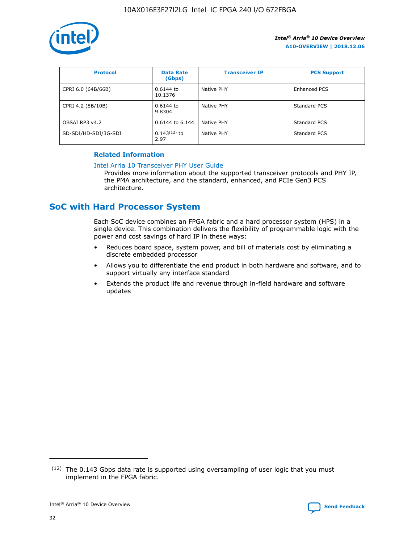

| <b>Protocol</b>      | <b>Data Rate</b><br>(Gbps) | <b>Transceiver IP</b> | <b>PCS Support</b> |
|----------------------|----------------------------|-----------------------|--------------------|
| CPRI 6.0 (64B/66B)   | 0.6144 to<br>10.1376       | Native PHY            | Enhanced PCS       |
| CPRI 4.2 (8B/10B)    | 0.6144 to<br>9.8304        | <b>Native PHY</b>     | Standard PCS       |
| OBSAI RP3 v4.2       | 0.6144 to 6.144            | Native PHY            | Standard PCS       |
| SD-SDI/HD-SDI/3G-SDI | $0.143(12)$ to<br>2.97     | Native PHY            | Standard PCS       |

#### **Related Information**

#### [Intel Arria 10 Transceiver PHY User Guide](https://www.intel.com/content/www/us/en/programmable/documentation/nik1398707230472.html#nik1398707091164)

Provides more information about the supported transceiver protocols and PHY IP, the PMA architecture, and the standard, enhanced, and PCIe Gen3 PCS architecture.

## **SoC with Hard Processor System**

Each SoC device combines an FPGA fabric and a hard processor system (HPS) in a single device. This combination delivers the flexibility of programmable logic with the power and cost savings of hard IP in these ways:

- Reduces board space, system power, and bill of materials cost by eliminating a discrete embedded processor
- Allows you to differentiate the end product in both hardware and software, and to support virtually any interface standard
- Extends the product life and revenue through in-field hardware and software updates

<sup>(12)</sup> The 0.143 Gbps data rate is supported using oversampling of user logic that you must implement in the FPGA fabric.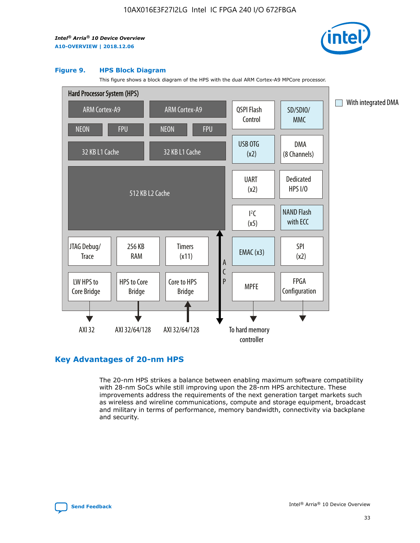

#### **Figure 9. HPS Block Diagram**

This figure shows a block diagram of the HPS with the dual ARM Cortex-A9 MPCore processor.



#### **Key Advantages of 20-nm HPS**

The 20-nm HPS strikes a balance between enabling maximum software compatibility with 28-nm SoCs while still improving upon the 28-nm HPS architecture. These improvements address the requirements of the next generation target markets such as wireless and wireline communications, compute and storage equipment, broadcast and military in terms of performance, memory bandwidth, connectivity via backplane and security.

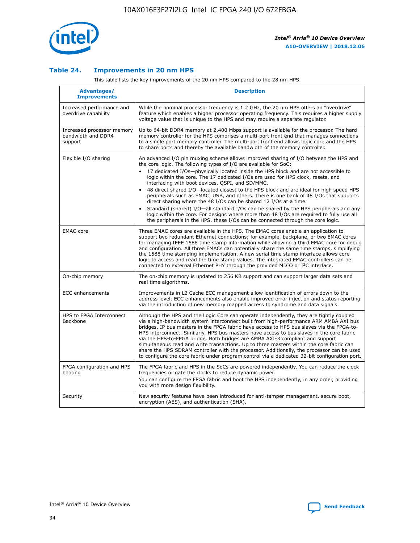

#### **Table 24. Improvements in 20 nm HPS**

This table lists the key improvements of the 20 nm HPS compared to the 28 nm HPS.

| Advantages/<br><b>Improvements</b>                          | <b>Description</b>                                                                                                                                                                                                                                                                                                                                                                                                                                                                                                                                                                                                                                                                                                                                                                                                                                                                                                                   |
|-------------------------------------------------------------|--------------------------------------------------------------------------------------------------------------------------------------------------------------------------------------------------------------------------------------------------------------------------------------------------------------------------------------------------------------------------------------------------------------------------------------------------------------------------------------------------------------------------------------------------------------------------------------------------------------------------------------------------------------------------------------------------------------------------------------------------------------------------------------------------------------------------------------------------------------------------------------------------------------------------------------|
| Increased performance and<br>overdrive capability           | While the nominal processor frequency is 1.2 GHz, the 20 nm HPS offers an "overdrive"<br>feature which enables a higher processor operating frequency. This requires a higher supply<br>voltage value that is unique to the HPS and may require a separate regulator.                                                                                                                                                                                                                                                                                                                                                                                                                                                                                                                                                                                                                                                                |
| Increased processor memory<br>bandwidth and DDR4<br>support | Up to 64-bit DDR4 memory at 2,400 Mbps support is available for the processor. The hard<br>memory controller for the HPS comprises a multi-port front end that manages connections<br>to a single port memory controller. The multi-port front end allows logic core and the HPS<br>to share ports and thereby the available bandwidth of the memory controller.                                                                                                                                                                                                                                                                                                                                                                                                                                                                                                                                                                     |
| Flexible I/O sharing                                        | An advanced I/O pin muxing scheme allows improved sharing of I/O between the HPS and<br>the core logic. The following types of I/O are available for SoC:<br>17 dedicated I/Os-physically located inside the HPS block and are not accessible to<br>logic within the core. The 17 dedicated I/Os are used for HPS clock, resets, and<br>interfacing with boot devices, QSPI, and SD/MMC.<br>48 direct shared I/O-located closest to the HPS block and are ideal for high speed HPS<br>$\bullet$<br>peripherals such as EMAC, USB, and others. There is one bank of 48 I/Os that supports<br>direct sharing where the 48 I/Os can be shared 12 I/Os at a time.<br>Standard (shared) I/O-all standard I/Os can be shared by the HPS peripherals and any<br>logic within the core. For designs where more than 48 I/Os are reguired to fully use all<br>the peripherals in the HPS, these I/Os can be connected through the core logic. |
| <b>EMAC</b> core                                            | Three EMAC cores are available in the HPS. The EMAC cores enable an application to<br>support two redundant Ethernet connections; for example, backplane, or two EMAC cores<br>for managing IEEE 1588 time stamp information while allowing a third EMAC core for debug<br>and configuration. All three EMACs can potentially share the same time stamps, simplifying<br>the 1588 time stamping implementation. A new serial time stamp interface allows core<br>logic to access and read the time stamp values. The integrated EMAC controllers can be<br>connected to external Ethernet PHY through the provided MDIO or I <sup>2</sup> C interface.                                                                                                                                                                                                                                                                               |
| On-chip memory                                              | The on-chip memory is updated to 256 KB support and can support larger data sets and<br>real time algorithms.                                                                                                                                                                                                                                                                                                                                                                                                                                                                                                                                                                                                                                                                                                                                                                                                                        |
| <b>ECC</b> enhancements                                     | Improvements in L2 Cache ECC management allow identification of errors down to the<br>address level. ECC enhancements also enable improved error injection and status reporting<br>via the introduction of new memory mapped access to syndrome and data signals.                                                                                                                                                                                                                                                                                                                                                                                                                                                                                                                                                                                                                                                                    |
| HPS to FPGA Interconnect<br>Backbone                        | Although the HPS and the Logic Core can operate independently, they are tightly coupled<br>via a high-bandwidth system interconnect built from high-performance ARM AMBA AXI bus<br>bridges. IP bus masters in the FPGA fabric have access to HPS bus slaves via the FPGA-to-<br>HPS interconnect. Similarly, HPS bus masters have access to bus slaves in the core fabric<br>via the HPS-to-FPGA bridge. Both bridges are AMBA AXI-3 compliant and support<br>simultaneous read and write transactions. Up to three masters within the core fabric can<br>share the HPS SDRAM controller with the processor. Additionally, the processor can be used<br>to configure the core fabric under program control via a dedicated 32-bit configuration port.                                                                                                                                                                               |
| FPGA configuration and HPS<br>booting                       | The FPGA fabric and HPS in the SoCs are powered independently. You can reduce the clock<br>frequencies or gate the clocks to reduce dynamic power.<br>You can configure the FPGA fabric and boot the HPS independently, in any order, providing<br>you with more design flexibility.                                                                                                                                                                                                                                                                                                                                                                                                                                                                                                                                                                                                                                                 |
| Security                                                    | New security features have been introduced for anti-tamper management, secure boot,<br>encryption (AES), and authentication (SHA).                                                                                                                                                                                                                                                                                                                                                                                                                                                                                                                                                                                                                                                                                                                                                                                                   |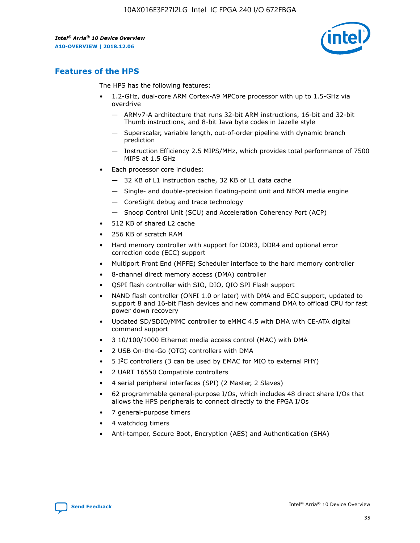

## **Features of the HPS**

The HPS has the following features:

- 1.2-GHz, dual-core ARM Cortex-A9 MPCore processor with up to 1.5-GHz via overdrive
	- ARMv7-A architecture that runs 32-bit ARM instructions, 16-bit and 32-bit Thumb instructions, and 8-bit Java byte codes in Jazelle style
	- Superscalar, variable length, out-of-order pipeline with dynamic branch prediction
	- Instruction Efficiency 2.5 MIPS/MHz, which provides total performance of 7500 MIPS at 1.5 GHz
- Each processor core includes:
	- 32 KB of L1 instruction cache, 32 KB of L1 data cache
	- Single- and double-precision floating-point unit and NEON media engine
	- CoreSight debug and trace technology
	- Snoop Control Unit (SCU) and Acceleration Coherency Port (ACP)
- 512 KB of shared L2 cache
- 256 KB of scratch RAM
- Hard memory controller with support for DDR3, DDR4 and optional error correction code (ECC) support
- Multiport Front End (MPFE) Scheduler interface to the hard memory controller
- 8-channel direct memory access (DMA) controller
- QSPI flash controller with SIO, DIO, QIO SPI Flash support
- NAND flash controller (ONFI 1.0 or later) with DMA and ECC support, updated to support 8 and 16-bit Flash devices and new command DMA to offload CPU for fast power down recovery
- Updated SD/SDIO/MMC controller to eMMC 4.5 with DMA with CE-ATA digital command support
- 3 10/100/1000 Ethernet media access control (MAC) with DMA
- 2 USB On-the-Go (OTG) controllers with DMA
- $\bullet$  5 I<sup>2</sup>C controllers (3 can be used by EMAC for MIO to external PHY)
- 2 UART 16550 Compatible controllers
- 4 serial peripheral interfaces (SPI) (2 Master, 2 Slaves)
- 62 programmable general-purpose I/Os, which includes 48 direct share I/Os that allows the HPS peripherals to connect directly to the FPGA I/Os
- 7 general-purpose timers
- 4 watchdog timers
- Anti-tamper, Secure Boot, Encryption (AES) and Authentication (SHA)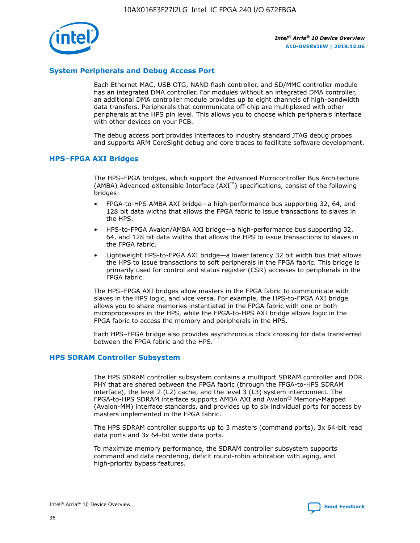

#### **System Peripherals and Debug Access Port**

Each Ethernet MAC, USB OTG, NAND flash controller, and SD/MMC controller module has an integrated DMA controller. For modules without an integrated DMA controller, an additional DMA controller module provides up to eight channels of high-bandwidth data transfers. Peripherals that communicate off-chip are multiplexed with other peripherals at the HPS pin level. This allows you to choose which peripherals interface with other devices on your PCB.

The debug access port provides interfaces to industry standard JTAG debug probes and supports ARM CoreSight debug and core traces to facilitate software development.

#### **HPS–FPGA AXI Bridges**

The HPS–FPGA bridges, which support the Advanced Microcontroller Bus Architecture (AMBA) Advanced eXtensible Interface (AXI™) specifications, consist of the following bridges:

- FPGA-to-HPS AMBA AXI bridge—a high-performance bus supporting 32, 64, and 128 bit data widths that allows the FPGA fabric to issue transactions to slaves in the HPS.
- HPS-to-FPGA Avalon/AMBA AXI bridge—a high-performance bus supporting 32, 64, and 128 bit data widths that allows the HPS to issue transactions to slaves in the FPGA fabric.
- Lightweight HPS-to-FPGA AXI bridge—a lower latency 32 bit width bus that allows the HPS to issue transactions to soft peripherals in the FPGA fabric. This bridge is primarily used for control and status register (CSR) accesses to peripherals in the FPGA fabric.

The HPS–FPGA AXI bridges allow masters in the FPGA fabric to communicate with slaves in the HPS logic, and vice versa. For example, the HPS-to-FPGA AXI bridge allows you to share memories instantiated in the FPGA fabric with one or both microprocessors in the HPS, while the FPGA-to-HPS AXI bridge allows logic in the FPGA fabric to access the memory and peripherals in the HPS.

Each HPS–FPGA bridge also provides asynchronous clock crossing for data transferred between the FPGA fabric and the HPS.

#### **HPS SDRAM Controller Subsystem**

The HPS SDRAM controller subsystem contains a multiport SDRAM controller and DDR PHY that are shared between the FPGA fabric (through the FPGA-to-HPS SDRAM interface), the level 2 (L2) cache, and the level 3 (L3) system interconnect. The FPGA-to-HPS SDRAM interface supports AMBA AXI and Avalon® Memory-Mapped (Avalon-MM) interface standards, and provides up to six individual ports for access by masters implemented in the FPGA fabric.

The HPS SDRAM controller supports up to 3 masters (command ports), 3x 64-bit read data ports and 3x 64-bit write data ports.

To maximize memory performance, the SDRAM controller subsystem supports command and data reordering, deficit round-robin arbitration with aging, and high-priority bypass features.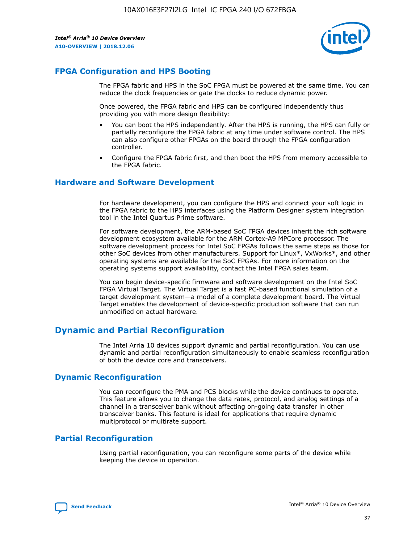

#### **FPGA Configuration and HPS Booting**

The FPGA fabric and HPS in the SoC FPGA must be powered at the same time. You can reduce the clock frequencies or gate the clocks to reduce dynamic power.

Once powered, the FPGA fabric and HPS can be configured independently thus providing you with more design flexibility:

- You can boot the HPS independently. After the HPS is running, the HPS can fully or partially reconfigure the FPGA fabric at any time under software control. The HPS can also configure other FPGAs on the board through the FPGA configuration controller.
- Configure the FPGA fabric first, and then boot the HPS from memory accessible to the FPGA fabric.

#### **Hardware and Software Development**

For hardware development, you can configure the HPS and connect your soft logic in the FPGA fabric to the HPS interfaces using the Platform Designer system integration tool in the Intel Quartus Prime software.

For software development, the ARM-based SoC FPGA devices inherit the rich software development ecosystem available for the ARM Cortex-A9 MPCore processor. The software development process for Intel SoC FPGAs follows the same steps as those for other SoC devices from other manufacturers. Support for Linux\*, VxWorks\*, and other operating systems are available for the SoC FPGAs. For more information on the operating systems support availability, contact the Intel FPGA sales team.

You can begin device-specific firmware and software development on the Intel SoC FPGA Virtual Target. The Virtual Target is a fast PC-based functional simulation of a target development system—a model of a complete development board. The Virtual Target enables the development of device-specific production software that can run unmodified on actual hardware.

#### **Dynamic and Partial Reconfiguration**

The Intel Arria 10 devices support dynamic and partial reconfiguration. You can use dynamic and partial reconfiguration simultaneously to enable seamless reconfiguration of both the device core and transceivers.

#### **Dynamic Reconfiguration**

You can reconfigure the PMA and PCS blocks while the device continues to operate. This feature allows you to change the data rates, protocol, and analog settings of a channel in a transceiver bank without affecting on-going data transfer in other transceiver banks. This feature is ideal for applications that require dynamic multiprotocol or multirate support.

## **Partial Reconfiguration**

Using partial reconfiguration, you can reconfigure some parts of the device while keeping the device in operation.

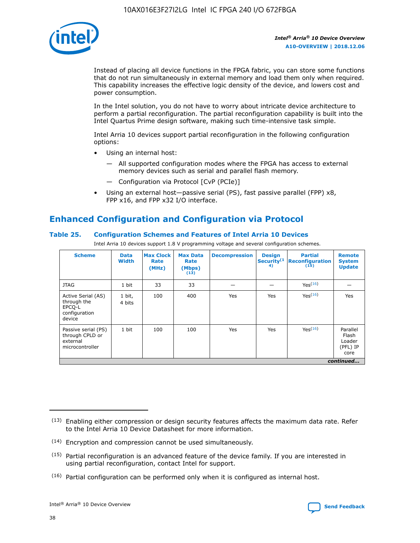

Instead of placing all device functions in the FPGA fabric, you can store some functions that do not run simultaneously in external memory and load them only when required. This capability increases the effective logic density of the device, and lowers cost and power consumption.

In the Intel solution, you do not have to worry about intricate device architecture to perform a partial reconfiguration. The partial reconfiguration capability is built into the Intel Quartus Prime design software, making such time-intensive task simple.

Intel Arria 10 devices support partial reconfiguration in the following configuration options:

- Using an internal host:
	- All supported configuration modes where the FPGA has access to external memory devices such as serial and parallel flash memory.
	- Configuration via Protocol [CvP (PCIe)]
- Using an external host—passive serial (PS), fast passive parallel (FPP) x8, FPP x16, and FPP x32 I/O interface.

## **Enhanced Configuration and Configuration via Protocol**

#### **Table 25. Configuration Schemes and Features of Intel Arria 10 Devices**

Intel Arria 10 devices support 1.8 V programming voltage and several configuration schemes.

| <b>Scheme</b>                                                          | <b>Data</b><br><b>Width</b> | <b>Max Clock</b><br>Rate<br>(MHz) | <b>Max Data</b><br>Rate<br>(Mbps)<br>(13) | <b>Decompression</b> | <b>Design</b><br>Security <sup>(1</sup><br>4) | <b>Partial</b><br>Reconfiguration<br>(15) | <b>Remote</b><br><b>System</b><br><b>Update</b> |
|------------------------------------------------------------------------|-----------------------------|-----------------------------------|-------------------------------------------|----------------------|-----------------------------------------------|-------------------------------------------|-------------------------------------------------|
| <b>JTAG</b>                                                            | 1 bit                       | 33                                | 33                                        |                      |                                               | Yes(16)                                   |                                                 |
| Active Serial (AS)<br>through the<br>EPCO-L<br>configuration<br>device | 1 bit,<br>4 bits            | 100                               | 400                                       | Yes                  | Yes                                           | Yes(16)                                   | Yes                                             |
| Passive serial (PS)<br>through CPLD or<br>external<br>microcontroller  | 1 bit                       | 100                               | 100                                       | Yes                  | Yes                                           | Yes <sup>(16)</sup>                       | Parallel<br>Flash<br>Loader<br>(PFL) IP<br>core |
|                                                                        |                             |                                   |                                           |                      |                                               |                                           | continued                                       |

<sup>(13)</sup> Enabling either compression or design security features affects the maximum data rate. Refer to the Intel Arria 10 Device Datasheet for more information.

<sup>(14)</sup> Encryption and compression cannot be used simultaneously.

 $(15)$  Partial reconfiguration is an advanced feature of the device family. If you are interested in using partial reconfiguration, contact Intel for support.

 $(16)$  Partial configuration can be performed only when it is configured as internal host.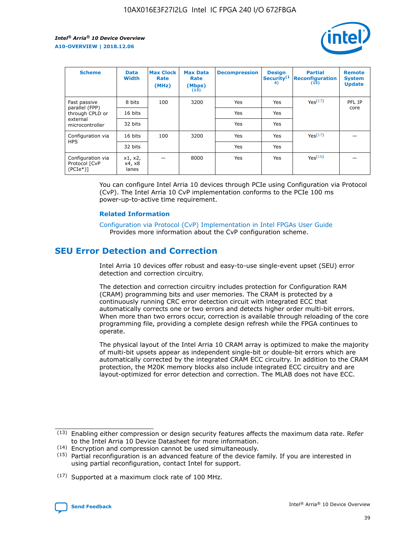

| <b>Scheme</b>                                    | <b>Data</b><br><b>Width</b> | <b>Max Clock</b><br>Rate<br>(MHz) | <b>Max Data</b><br>Rate<br>(Mbps)<br>(13) | <b>Decompression</b> | <b>Design</b><br>Security <sup>(1</sup><br>4) | <b>Partial</b><br><b>Reconfiguration</b><br>(15) | <b>Remote</b><br><b>System</b><br><b>Update</b> |
|--------------------------------------------------|-----------------------------|-----------------------------------|-------------------------------------------|----------------------|-----------------------------------------------|--------------------------------------------------|-------------------------------------------------|
| Fast passive                                     | 8 bits                      | 100                               | 3200                                      | Yes                  | Yes                                           | Yes(17)                                          | PFL IP                                          |
| parallel (FPP)<br>through CPLD or                | 16 bits                     |                                   |                                           | Yes                  | Yes                                           |                                                  | core                                            |
| external<br>microcontroller                      | 32 bits                     |                                   |                                           | Yes                  | Yes                                           |                                                  |                                                 |
| Configuration via                                | 16 bits                     | 100                               | 3200                                      | Yes                  | Yes                                           | Yes <sup>(17)</sup>                              |                                                 |
| <b>HPS</b>                                       | 32 bits                     |                                   |                                           | Yes                  | Yes                                           |                                                  |                                                 |
| Configuration via<br>Protocol [CvP<br>$(PCIe^*)$ | x1, x2,<br>x4, x8<br>lanes  |                                   | 8000                                      | Yes                  | Yes                                           | Yes <sup>(16)</sup>                              |                                                 |

You can configure Intel Arria 10 devices through PCIe using Configuration via Protocol (CvP). The Intel Arria 10 CvP implementation conforms to the PCIe 100 ms power-up-to-active time requirement.

#### **Related Information**

[Configuration via Protocol \(CvP\) Implementation in Intel FPGAs User Guide](https://www.intel.com/content/www/us/en/programmable/documentation/dsu1441819344145.html#dsu1442269728522) Provides more information about the CvP configuration scheme.

## **SEU Error Detection and Correction**

Intel Arria 10 devices offer robust and easy-to-use single-event upset (SEU) error detection and correction circuitry.

The detection and correction circuitry includes protection for Configuration RAM (CRAM) programming bits and user memories. The CRAM is protected by a continuously running CRC error detection circuit with integrated ECC that automatically corrects one or two errors and detects higher order multi-bit errors. When more than two errors occur, correction is available through reloading of the core programming file, providing a complete design refresh while the FPGA continues to operate.

The physical layout of the Intel Arria 10 CRAM array is optimized to make the majority of multi-bit upsets appear as independent single-bit or double-bit errors which are automatically corrected by the integrated CRAM ECC circuitry. In addition to the CRAM protection, the M20K memory blocks also include integrated ECC circuitry and are layout-optimized for error detection and correction. The MLAB does not have ECC.

(14) Encryption and compression cannot be used simultaneously.

<sup>(17)</sup> Supported at a maximum clock rate of 100 MHz.



 $(13)$  Enabling either compression or design security features affects the maximum data rate. Refer to the Intel Arria 10 Device Datasheet for more information.

 $(15)$  Partial reconfiguration is an advanced feature of the device family. If you are interested in using partial reconfiguration, contact Intel for support.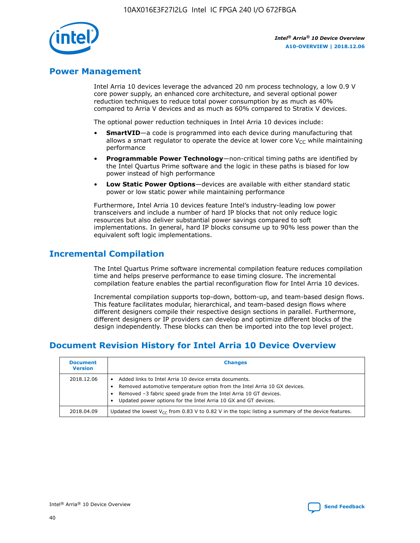

## **Power Management**

Intel Arria 10 devices leverage the advanced 20 nm process technology, a low 0.9 V core power supply, an enhanced core architecture, and several optional power reduction techniques to reduce total power consumption by as much as 40% compared to Arria V devices and as much as 60% compared to Stratix V devices.

The optional power reduction techniques in Intel Arria 10 devices include:

- **SmartVID**—a code is programmed into each device during manufacturing that allows a smart regulator to operate the device at lower core  $V_{CC}$  while maintaining performance
- **Programmable Power Technology**—non-critical timing paths are identified by the Intel Quartus Prime software and the logic in these paths is biased for low power instead of high performance
- **Low Static Power Options**—devices are available with either standard static power or low static power while maintaining performance

Furthermore, Intel Arria 10 devices feature Intel's industry-leading low power transceivers and include a number of hard IP blocks that not only reduce logic resources but also deliver substantial power savings compared to soft implementations. In general, hard IP blocks consume up to 90% less power than the equivalent soft logic implementations.

## **Incremental Compilation**

The Intel Quartus Prime software incremental compilation feature reduces compilation time and helps preserve performance to ease timing closure. The incremental compilation feature enables the partial reconfiguration flow for Intel Arria 10 devices.

Incremental compilation supports top-down, bottom-up, and team-based design flows. This feature facilitates modular, hierarchical, and team-based design flows where different designers compile their respective design sections in parallel. Furthermore, different designers or IP providers can develop and optimize different blocks of the design independently. These blocks can then be imported into the top level project.

## **Document Revision History for Intel Arria 10 Device Overview**

| <b>Document</b><br><b>Version</b> | <b>Changes</b>                                                                                                                                                                                                                                                              |
|-----------------------------------|-----------------------------------------------------------------------------------------------------------------------------------------------------------------------------------------------------------------------------------------------------------------------------|
| 2018.12.06                        | Added links to Intel Arria 10 device errata documents.<br>Removed automotive temperature option from the Intel Arria 10 GX devices.<br>Removed -3 fabric speed grade from the Intel Arria 10 GT devices.<br>Updated power options for the Intel Arria 10 GX and GT devices. |
| 2018.04.09                        | Updated the lowest $V_{CC}$ from 0.83 V to 0.82 V in the topic listing a summary of the device features.                                                                                                                                                                    |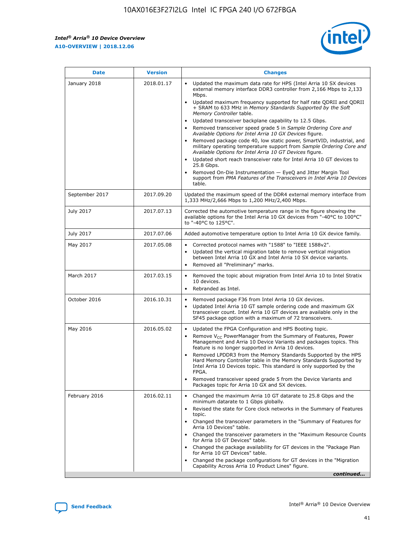F

 $\mathsf{r}$ 



| January 2018<br>Updated the maximum data rate for HPS (Intel Arria 10 SX devices<br>2018.01.17<br>external memory interface DDR3 controller from 2,166 Mbps to 2,133<br>Mbps.<br>$\bullet$<br>+ SRAM to 633 MHz in Memory Standards Supported by the Soft<br>Memory Controller table.<br>Updated transceiver backplane capability to 12.5 Gbps.<br>$\bullet$<br>Removed transceiver speed grade 5 in Sample Ordering Core and<br>Available Options for Intel Arria 10 GX Devices figure.<br>Available Options for Intel Arria 10 GT Devices figure.<br>Updated short reach transceiver rate for Intel Arria 10 GT devices to<br>$\bullet$<br>25.8 Gbps.<br>Removed On-Die Instrumentation - EyeQ and Jitter Margin Tool<br>table.<br>2017.09.20<br>September 2017<br>1,333 MHz/2,666 Mbps to 1,200 MHz/2,400 Mbps.<br>July 2017<br>2017.07.13<br>Corrected the automotive temperature range in the figure showing the<br>available options for the Intel Arria 10 GX devices from "-40°C to 100°C"<br>to "-40°C to 125°C".<br>July 2017<br>2017.07.06<br>Added automotive temperature option to Intel Arria 10 GX device family.<br>2017.05.08<br>Corrected protocol names with "1588" to "IEEE 1588v2".<br>May 2017<br>$\bullet$<br>Updated the vertical migration table to remove vertical migration<br>$\bullet$<br>between Intel Arria 10 GX and Intel Arria 10 SX device variants.<br>Removed all "Preliminary" marks.<br>2017.03.15<br>March 2017<br>Removed the topic about migration from Intel Arria 10 to Intel Stratix<br>10 devices.<br>Rebranded as Intel.<br>$\bullet$<br>October 2016<br>2016.10.31<br>Removed package F36 from Intel Arria 10 GX devices.<br>$\bullet$<br>Updated Intel Arria 10 GT sample ordering code and maximum GX<br>$\bullet$<br>transceiver count. Intel Arria 10 GT devices are available only in the<br>SF45 package option with a maximum of 72 transceivers.<br>May 2016<br>2016.05.02<br>Updated the FPGA Configuration and HPS Booting topic.<br>Remove $V_{CC}$ PowerManager from the Summary of Features, Power<br>Management and Arria 10 Device Variants and packages topics. This<br>feature is no longer supported in Arria 10 devices.<br>Removed LPDDR3 from the Memory Standards Supported by the HPS<br>Hard Memory Controller table in the Memory Standards Supported by<br>Intel Arria 10 Devices topic. This standard is only supported by the<br>FPGA.<br>Removed transceiver speed grade 5 from the Device Variants and<br>Packages topic for Arria 10 GX and SX devices.<br>Changed the maximum Arria 10 GT datarate to 25.8 Gbps and the<br>February 2016<br>2016.02.11<br>minimum datarate to 1 Gbps globally.<br>Revised the state for Core clock networks in the Summary of Features<br>$\bullet$<br>topic.<br>• Changed the transceiver parameters in the "Summary of Features for<br>Arria 10 Devices" table.<br>for Arria 10 GT Devices" table.<br>• Changed the package availability for GT devices in the "Package Plan<br>for Arria 10 GT Devices" table.<br>Changed the package configurations for GT devices in the "Migration"<br>Capability Across Arria 10 Product Lines" figure. | <b>Date</b> | <b>Version</b> | <b>Changes</b>                                                                                                                                                                                                                                                                               |
|----------------------------------------------------------------------------------------------------------------------------------------------------------------------------------------------------------------------------------------------------------------------------------------------------------------------------------------------------------------------------------------------------------------------------------------------------------------------------------------------------------------------------------------------------------------------------------------------------------------------------------------------------------------------------------------------------------------------------------------------------------------------------------------------------------------------------------------------------------------------------------------------------------------------------------------------------------------------------------------------------------------------------------------------------------------------------------------------------------------------------------------------------------------------------------------------------------------------------------------------------------------------------------------------------------------------------------------------------------------------------------------------------------------------------------------------------------------------------------------------------------------------------------------------------------------------------------------------------------------------------------------------------------------------------------------------------------------------------------------------------------------------------------------------------------------------------------------------------------------------------------------------------------------------------------------------------------------------------------------------------------------------------------------------------------------------------------------------------------------------------------------------------------------------------------------------------------------------------------------------------------------------------------------------------------------------------------------------------------------------------------------------------------------------------------------------------------------------------------------------------------------------------------------------------------------------------------------------------------------------------------------------------------------------------------------------------------------------------------------------------------------------------------------------------------------------------------------------------------------------------------------------------------------------------------------------------------------------------------------------------------------------------------------------------------------------------------------------------------------------------------------------------------------|-------------|----------------|----------------------------------------------------------------------------------------------------------------------------------------------------------------------------------------------------------------------------------------------------------------------------------------------|
|                                                                                                                                                                                                                                                                                                                                                                                                                                                                                                                                                                                                                                                                                                                                                                                                                                                                                                                                                                                                                                                                                                                                                                                                                                                                                                                                                                                                                                                                                                                                                                                                                                                                                                                                                                                                                                                                                                                                                                                                                                                                                                                                                                                                                                                                                                                                                                                                                                                                                                                                                                                                                                                                                                                                                                                                                                                                                                                                                                                                                                                                                                                                                                |             |                | Updated maximum frequency supported for half rate QDRII and QDRII<br>Removed package code 40, low static power, SmartVID, industrial, and<br>military operating temperature support from Sample Ordering Core and<br>support from PMA Features of the Transceivers in Intel Arria 10 Devices |
|                                                                                                                                                                                                                                                                                                                                                                                                                                                                                                                                                                                                                                                                                                                                                                                                                                                                                                                                                                                                                                                                                                                                                                                                                                                                                                                                                                                                                                                                                                                                                                                                                                                                                                                                                                                                                                                                                                                                                                                                                                                                                                                                                                                                                                                                                                                                                                                                                                                                                                                                                                                                                                                                                                                                                                                                                                                                                                                                                                                                                                                                                                                                                                |             |                | Updated the maximum speed of the DDR4 external memory interface from                                                                                                                                                                                                                         |
|                                                                                                                                                                                                                                                                                                                                                                                                                                                                                                                                                                                                                                                                                                                                                                                                                                                                                                                                                                                                                                                                                                                                                                                                                                                                                                                                                                                                                                                                                                                                                                                                                                                                                                                                                                                                                                                                                                                                                                                                                                                                                                                                                                                                                                                                                                                                                                                                                                                                                                                                                                                                                                                                                                                                                                                                                                                                                                                                                                                                                                                                                                                                                                |             |                |                                                                                                                                                                                                                                                                                              |
|                                                                                                                                                                                                                                                                                                                                                                                                                                                                                                                                                                                                                                                                                                                                                                                                                                                                                                                                                                                                                                                                                                                                                                                                                                                                                                                                                                                                                                                                                                                                                                                                                                                                                                                                                                                                                                                                                                                                                                                                                                                                                                                                                                                                                                                                                                                                                                                                                                                                                                                                                                                                                                                                                                                                                                                                                                                                                                                                                                                                                                                                                                                                                                |             |                |                                                                                                                                                                                                                                                                                              |
|                                                                                                                                                                                                                                                                                                                                                                                                                                                                                                                                                                                                                                                                                                                                                                                                                                                                                                                                                                                                                                                                                                                                                                                                                                                                                                                                                                                                                                                                                                                                                                                                                                                                                                                                                                                                                                                                                                                                                                                                                                                                                                                                                                                                                                                                                                                                                                                                                                                                                                                                                                                                                                                                                                                                                                                                                                                                                                                                                                                                                                                                                                                                                                |             |                |                                                                                                                                                                                                                                                                                              |
|                                                                                                                                                                                                                                                                                                                                                                                                                                                                                                                                                                                                                                                                                                                                                                                                                                                                                                                                                                                                                                                                                                                                                                                                                                                                                                                                                                                                                                                                                                                                                                                                                                                                                                                                                                                                                                                                                                                                                                                                                                                                                                                                                                                                                                                                                                                                                                                                                                                                                                                                                                                                                                                                                                                                                                                                                                                                                                                                                                                                                                                                                                                                                                |             |                |                                                                                                                                                                                                                                                                                              |
|                                                                                                                                                                                                                                                                                                                                                                                                                                                                                                                                                                                                                                                                                                                                                                                                                                                                                                                                                                                                                                                                                                                                                                                                                                                                                                                                                                                                                                                                                                                                                                                                                                                                                                                                                                                                                                                                                                                                                                                                                                                                                                                                                                                                                                                                                                                                                                                                                                                                                                                                                                                                                                                                                                                                                                                                                                                                                                                                                                                                                                                                                                                                                                |             |                |                                                                                                                                                                                                                                                                                              |
|                                                                                                                                                                                                                                                                                                                                                                                                                                                                                                                                                                                                                                                                                                                                                                                                                                                                                                                                                                                                                                                                                                                                                                                                                                                                                                                                                                                                                                                                                                                                                                                                                                                                                                                                                                                                                                                                                                                                                                                                                                                                                                                                                                                                                                                                                                                                                                                                                                                                                                                                                                                                                                                                                                                                                                                                                                                                                                                                                                                                                                                                                                                                                                |             |                |                                                                                                                                                                                                                                                                                              |
|                                                                                                                                                                                                                                                                                                                                                                                                                                                                                                                                                                                                                                                                                                                                                                                                                                                                                                                                                                                                                                                                                                                                                                                                                                                                                                                                                                                                                                                                                                                                                                                                                                                                                                                                                                                                                                                                                                                                                                                                                                                                                                                                                                                                                                                                                                                                                                                                                                                                                                                                                                                                                                                                                                                                                                                                                                                                                                                                                                                                                                                                                                                                                                |             |                | Changed the transceiver parameters in the "Maximum Resource Counts"<br>continued                                                                                                                                                                                                             |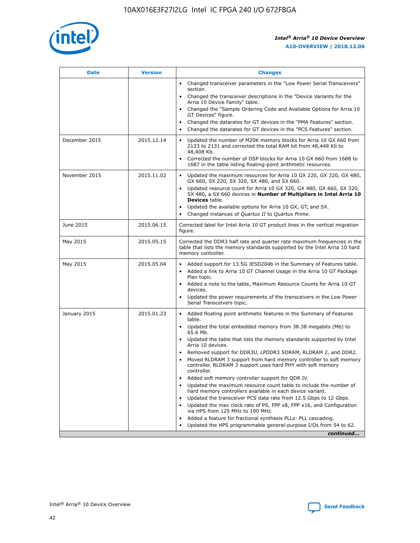

| <b>Date</b>   | <b>Version</b> | <b>Changes</b>                                                                                                                                                               |
|---------------|----------------|------------------------------------------------------------------------------------------------------------------------------------------------------------------------------|
|               |                | • Changed transceiver parameters in the "Low Power Serial Transceivers"<br>section.                                                                                          |
|               |                | Changed the transceiver descriptions in the "Device Variants for the<br>Arria 10 Device Family" table.                                                                       |
|               |                | Changed the "Sample Ordering Code and Available Options for Arria 10<br>GT Devices" figure.                                                                                  |
|               |                | Changed the datarates for GT devices in the "PMA Features" section.                                                                                                          |
|               |                | Changed the datarates for GT devices in the "PCS Features" section.                                                                                                          |
| December 2015 | 2015.12.14     | Updated the number of M20K memory blocks for Arria 10 GX 660 from<br>2133 to 2131 and corrected the total RAM bit from 48,448 Kb to<br>48,408 Kb.                            |
|               |                | Corrected the number of DSP blocks for Arria 10 GX 660 from 1688 to<br>$\bullet$<br>1687 in the table listing floating-point arithmetic resources.                           |
| November 2015 | 2015.11.02     | Updated the maximum resources for Arria 10 GX 220, GX 320, GX 480,<br>GX 660, SX 220, SX 320, SX 480, and SX 660.                                                            |
|               |                | • Updated resource count for Arria 10 GX 320, GX 480, GX 660, SX 320,<br>SX 480, a SX 660 devices in Number of Multipliers in Intel Arria 10<br><b>Devices</b> table.        |
|               |                | Updated the available options for Arria 10 GX, GT, and SX.                                                                                                                   |
|               |                | Changed instances of Quartus II to Quartus Prime.<br>$\bullet$                                                                                                               |
| June 2015     | 2015.06.15     | Corrected label for Intel Arria 10 GT product lines in the vertical migration<br>figure.                                                                                     |
| May 2015      | 2015.05.15     | Corrected the DDR3 half rate and quarter rate maximum frequencies in the<br>table that lists the memory standards supported by the Intel Arria 10 hard<br>memory controller. |
| May 2015      | 2015.05.04     | • Added support for 13.5G JESD204b in the Summary of Features table.<br>Added a link to Arria 10 GT Channel Usage in the Arria 10 GT Package<br>$\bullet$<br>Plan topic.     |
|               |                | • Added a note to the table, Maximum Resource Counts for Arria 10 GT<br>devices.                                                                                             |
|               |                | • Updated the power requirements of the transceivers in the Low Power<br>Serial Transceivers topic.                                                                          |
| January 2015  | 2015.01.23     | • Added floating point arithmetic features in the Summary of Features<br>table.                                                                                              |
|               |                | • Updated the total embedded memory from 38.38 megabits (Mb) to<br>65.6 Mb.                                                                                                  |
|               |                | • Updated the table that lists the memory standards supported by Intel<br>Arria 10 devices.                                                                                  |
|               |                | Removed support for DDR3U, LPDDR3 SDRAM, RLDRAM 2, and DDR2.                                                                                                                 |
|               |                | Moved RLDRAM 3 support from hard memory controller to soft memory<br>controller. RLDRAM 3 support uses hard PHY with soft memory<br>controller.                              |
|               |                | Added soft memory controller support for QDR IV.<br>$\bullet$                                                                                                                |
|               |                | Updated the maximum resource count table to include the number of<br>$\bullet$<br>hard memory controllers available in each device variant.                                  |
|               |                | Updated the transceiver PCS data rate from 12.5 Gbps to 12 Gbps.<br>$\bullet$                                                                                                |
|               |                | Updated the max clock rate of PS, FPP x8, FPP x16, and Configuration<br>via HPS from 125 MHz to 100 MHz.                                                                     |
|               |                | Added a feature for fractional synthesis PLLs: PLL cascading.<br>$\bullet$                                                                                                   |
|               |                | Updated the HPS programmable general-purpose I/Os from 54 to 62.                                                                                                             |
|               |                | continued                                                                                                                                                                    |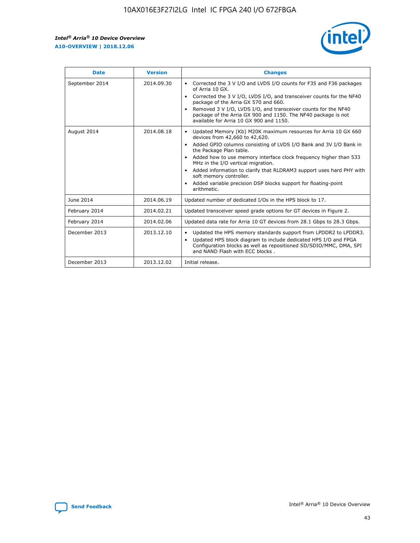

| <b>Date</b>    | <b>Version</b> | <b>Changes</b>                                                                                                                                                                                                                                                                                                                                                                                                                                                                                                                                                   |
|----------------|----------------|------------------------------------------------------------------------------------------------------------------------------------------------------------------------------------------------------------------------------------------------------------------------------------------------------------------------------------------------------------------------------------------------------------------------------------------------------------------------------------------------------------------------------------------------------------------|
| September 2014 | 2014.09.30     | Corrected the 3 V I/O and LVDS I/O counts for F35 and F36 packages<br>$\bullet$<br>of Arria 10 GX.<br>Corrected the 3 V I/O, LVDS I/O, and transceiver counts for the NF40<br>$\bullet$<br>package of the Arria GX 570 and 660.<br>Removed 3 V I/O, LVDS I/O, and transceiver counts for the NF40<br>$\bullet$<br>package of the Arria GX 900 and 1150. The NF40 package is not<br>available for Arria 10 GX 900 and 1150.                                                                                                                                       |
| August 2014    | 2014.08.18     | Updated Memory (Kb) M20K maximum resources for Arria 10 GX 660<br>$\bullet$<br>devices from 42,660 to 42,620.<br>Added GPIO columns consisting of LVDS I/O Bank and 3V I/O Bank in<br>$\bullet$<br>the Package Plan table.<br>Added how to use memory interface clock frequency higher than 533<br>$\bullet$<br>MHz in the I/O vertical migration.<br>Added information to clarify that RLDRAM3 support uses hard PHY with<br>$\bullet$<br>soft memory controller.<br>Added variable precision DSP blocks support for floating-point<br>$\bullet$<br>arithmetic. |
| June 2014      | 2014.06.19     | Updated number of dedicated I/Os in the HPS block to 17.                                                                                                                                                                                                                                                                                                                                                                                                                                                                                                         |
| February 2014  | 2014.02.21     | Updated transceiver speed grade options for GT devices in Figure 2.                                                                                                                                                                                                                                                                                                                                                                                                                                                                                              |
| February 2014  | 2014.02.06     | Updated data rate for Arria 10 GT devices from 28.1 Gbps to 28.3 Gbps.                                                                                                                                                                                                                                                                                                                                                                                                                                                                                           |
| December 2013  | 2013.12.10     | Updated the HPS memory standards support from LPDDR2 to LPDDR3.<br>٠<br>Updated HPS block diagram to include dedicated HPS I/O and FPGA<br>$\bullet$<br>Configuration blocks as well as repositioned SD/SDIO/MMC, DMA, SPI<br>and NAND Flash with ECC blocks.                                                                                                                                                                                                                                                                                                    |
| December 2013  | 2013.12.02     | Initial release.                                                                                                                                                                                                                                                                                                                                                                                                                                                                                                                                                 |